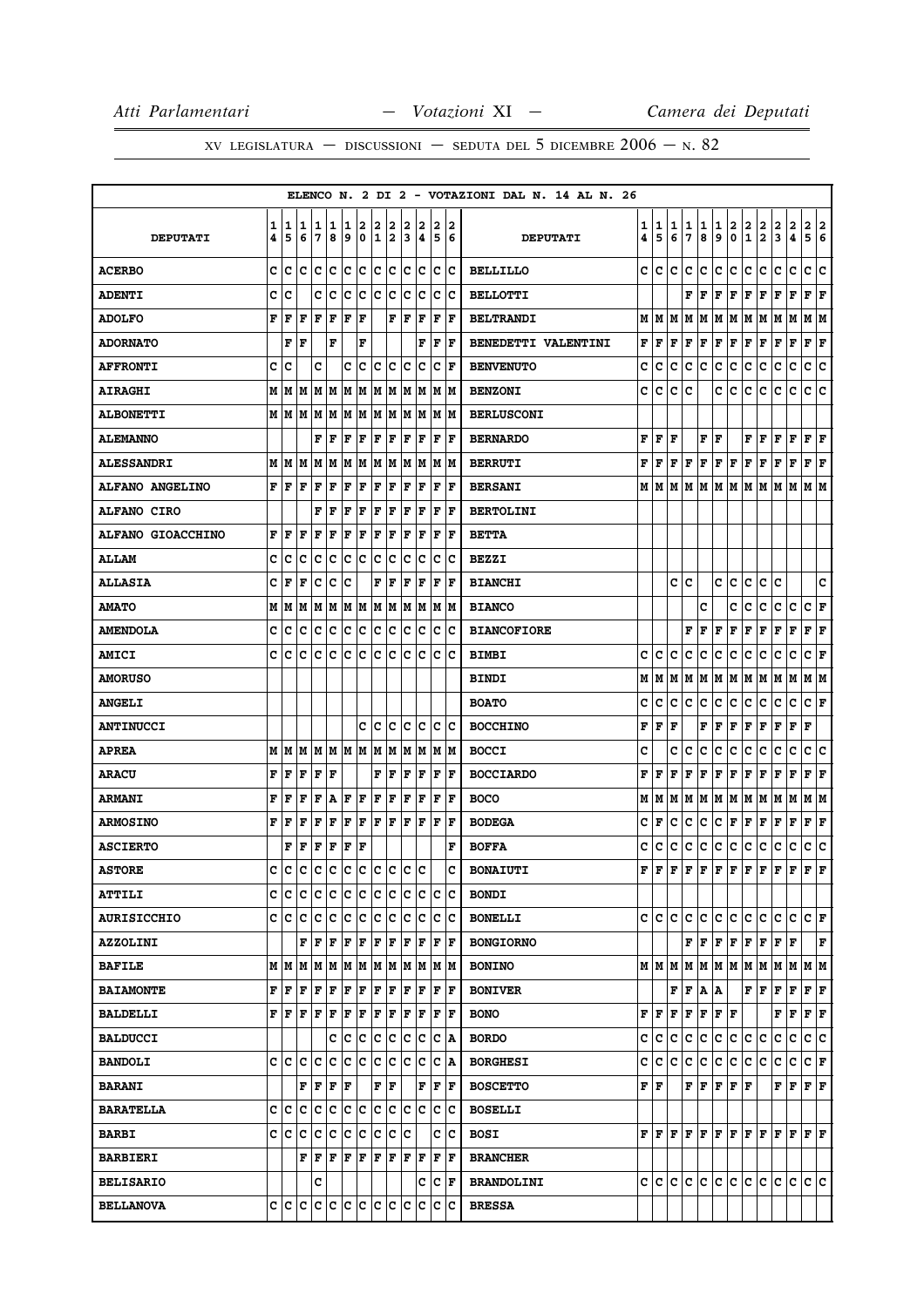|                          |        |        |        |        |            |        |        |        |                       |        |                  |        |                      | ELENCO N. 2 DI 2 - VOTAZIONI DAL N. 14 AL N. 26 |                        |                                  |        |              |        |                        |                                           |               |                             |                                                                                                                                                                                                                                                                                                                                                                                    |                   |                              |        |
|--------------------------|--------|--------|--------|--------|------------|--------|--------|--------|-----------------------|--------|------------------|--------|----------------------|-------------------------------------------------|------------------------|----------------------------------|--------|--------------|--------|------------------------|-------------------------------------------|---------------|-----------------------------|------------------------------------------------------------------------------------------------------------------------------------------------------------------------------------------------------------------------------------------------------------------------------------------------------------------------------------------------------------------------------------|-------------------|------------------------------|--------|
| <b>DEPUTATI</b>          | 1<br>4 | 1<br>5 | 1<br>6 | 1<br>7 | 1<br>8     | 1<br>9 | 2<br>0 | 2<br>1 | 2<br>2                | 2<br>3 | 2<br>4           | 2<br>5 | 2<br>6               | <b>DEPUTATI</b>                                 | 1<br>4                 | 1<br>5                           | 1<br>6 | 1<br>7       | 1<br>8 | 1<br>9                 | 2<br>$\pmb{0}$                            | $\frac{2}{1}$ | $\frac{2}{2}$               | $\mathbf{2}$<br>3                                                                                                                                                                                                                                                                                                                                                                  | $\mathbf{2}$<br>4 | $\overline{\mathbf{2}}$<br>5 | 2<br>6 |
| <b>ACERBO</b>            | c      | c      | lc     | c      | c          | c      | c      | c      | ∣c                    | c      | c                |        | c c                  | <b>BELLILLO</b>                                 | c                      | c                                | c      | c            | c      | c                      | c                                         | c             | c                           | c                                                                                                                                                                                                                                                                                                                                                                                  | c                 | c                            | c      |
| <b>ADENTI</b>            | C      | lc     |        | C      | lc         | lc.    | lc.    | lc     | c                     | lc     | lc.              | lc.    | Ιc                   | <b>BELLOTTI</b>                                 |                        |                                  |        | F            | F      |                        | ${\bf F}$ $\bf F$                         | F             | F                           | F F                                                                                                                                                                                                                                                                                                                                                                                |                   | ${\bf F}$ ${\bf F}$          |        |
| <b>ADOLFO</b>            | F      | F      | F      | F      | F          | F      | F      |        | F                     | F      | F                | F      | lF                   | <b>BELTRANDI</b>                                | М                      | M                                | М      | М            | Μ      | М                      | M                                         |               | M M                         | MM                                                                                                                                                                                                                                                                                                                                                                                 |                   | M  M                         |        |
| <b>ADORNATO</b>          |        | F      | l F    |        | F          |        | F      |        |                       |        | F                | F      | lF                   | BENEDETTI VALENTINI                             | F                      | F                                | F      | F            | F      | F F                    |                                           | F             | F                           | $ {\bf F}  {\bf F} $                                                                                                                                                                                                                                                                                                                                                               |                   | F F                          |        |
| <b>AFFRONTI</b>          | c      | c      |        | c      |            | c      | lc.    | Ιc     | Iс                    | lc     | lc.              | с      | lF                   | <b>BENVENUTO</b>                                | c                      | c                                | c      | c            | с      | с                      | с                                         | с             | с                           | с                                                                                                                                                                                                                                                                                                                                                                                  | с                 | с                            | c      |
| <b>AIRAGHI</b>           | M      | M      | M      | MM     |            |        | M M    |        | MM                    |        | M M              |        | M M                  | <b>BENZONI</b>                                  | с                      | с                                | с      | c            |        | c                      | с                                         | с             | c                           | с                                                                                                                                                                                                                                                                                                                                                                                  | c                 | c c                          |        |
| <b>ALBONETTI</b>         |        | MM     | M M    |        | lм         | M      | M      | M      | M                     | M      | M                |        | M  M                 | <b>BERLUSCONI</b>                               |                        |                                  |        |              |        |                        |                                           |               |                             |                                                                                                                                                                                                                                                                                                                                                                                    |                   |                              |        |
| <b>ALEMANNO</b>          |        |        |        | F      | F          | l F    | F      | F      | F                     | F      | F                | F      | F                    | <b>BERNARDO</b>                                 | F                      | F                                | F      |              | F      | F                      |                                           |               | ${\bf F} \parallel {\bf F}$ | F                                                                                                                                                                                                                                                                                                                                                                                  | F                 | ${\bf F}$ ${\bf F}$          |        |
| <b>ALESSANDRI</b>        | M      | lМ     | lМ     | M      | M          | M      | M      |        |                       |        | M  M  M  M  M  M |        |                      | <b>BERRUTI</b>                                  | F                      | F                                | F      | F            | F      | ${\bf F} \mid {\bf F}$ |                                           | F             | F                           | F                                                                                                                                                                                                                                                                                                                                                                                  | F                 | ${\bf F} \,   \, {\bf F}$    |        |
| <b>ALFANO ANGELINO</b>   |        | FF     | F      | l F    | F          | F      | F      | F      | F                     | F      | F                | F      | lF                   | <b>BERSANI</b>                                  |                        | MIM                              |        |              |        |                        |                                           |               |                             | M   M   M   M   M   M   M   M                                                                                                                                                                                                                                                                                                                                                      |                   | M M                          |        |
| <b>ALFANO CIRO</b>       |        |        |        | F      | l F        | F      | F      | F      | F                     | F      | F                | F      | F                    | <b>BERTOLINI</b>                                |                        |                                  |        |              |        |                        |                                           |               |                             |                                                                                                                                                                                                                                                                                                                                                                                    |                   |                              |        |
| <b>ALFANO GIOACCHINO</b> | F      | F      | F      | F      | l F        | F      | F      | F      | F                     | l F    | F                | F      | F                    | <b>BETTA</b>                                    |                        |                                  |        |              |        |                        |                                           |               |                             |                                                                                                                                                                                                                                                                                                                                                                                    |                   |                              |        |
| <b>ALLAM</b>             | c      | c      | Iс     | Iс     | Iс         | Ιc     | ΙC     | Ιc     | Iс                    | c      | Ιc               | c      | Ιc                   | <b>BEZZI</b>                                    |                        |                                  |        |              |        |                        |                                           |               |                             |                                                                                                                                                                                                                                                                                                                                                                                    |                   |                              |        |
| <b>ALLASIA</b>           | c      | F      | F      | c      | c          | Ιc     |        | F      | F                     | l F    | F                | l F    | l F                  | <b>BIANCHI</b>                                  |                        |                                  | c      | C            |        | c                      | c                                         | c             | c                           | c                                                                                                                                                                                                                                                                                                                                                                                  |                   |                              | c      |
| <b>AMATO</b>             | M      | M      | M      | MM     |            |        | MM     |        | MM                    |        | MM               |        | M M                  | <b>BIANCO</b>                                   |                        |                                  |        |              | c      |                        | c                                         | c             | c                           | c                                                                                                                                                                                                                                                                                                                                                                                  | c                 | C F                          |        |
| <b>AMENDOLA</b>          | c      | c      | Ιc     | Ιc     | Ιc         | c      | Iс     |        | c c                   | Ιc     | Ιc               | ΙC     | ΙC                   | <b>BIANCOFIORE</b>                              |                        |                                  |        | F            | F      | F                      | F                                         | F             | F                           | F                                                                                                                                                                                                                                                                                                                                                                                  | F                 | ${\bf F} \mid {\bf F}$       |        |
| <b>AMICI</b>             | c      | ١c     | Ιc     | Iс     | lc         | Ιc     | Iс     | ١c     | lc                    | Ιc     | Ιc               | ΙC     | Ιc                   | <b>BIMBI</b>                                    | c                      | c                                | c      | c            | c      | c                      | c                                         | с             | c                           | с                                                                                                                                                                                                                                                                                                                                                                                  | c                 | c                            | l F    |
| <b>AMORUSO</b>           |        |        |        |        |            |        |        |        |                       |        |                  |        |                      | <b>BINDI</b>                                    | М                      | M                                | М      | M            | M      |                        | M   M   M   M                             |               |                             | MM                                                                                                                                                                                                                                                                                                                                                                                 |                   | M M                          |        |
| <b>ANGELI</b>            |        |        |        |        |            |        |        |        |                       |        |                  |        |                      | <b>BOATO</b>                                    | c                      | c                                | c      | с            | с      | c                      | c                                         | c             | c                           | с                                                                                                                                                                                                                                                                                                                                                                                  | c                 | c                            | F      |
| <b>ANTINUCCI</b>         |        |        |        |        |            |        | с      | c      | Iс                    | c      | Iс               |        | ∣c ∣c                | <b>BOCCHINO</b>                                 | F                      | F                                | F      |              | F      | F                      | Г                                         | F             | F                           | г                                                                                                                                                                                                                                                                                                                                                                                  | F                 | F                            |        |
| <b>APREA</b>             | M      | M      | lм     |        | M  M  M  M |        |        | M      | M                     | M      | M                |        | M M                  | <b>BOCCI</b>                                    | c                      |                                  | c      | c            | c      | c                      | c                                         | c             | c                           | c                                                                                                                                                                                                                                                                                                                                                                                  | c                 | c                            | c      |
| <b>ARACU</b>             | F      | F      | F      | F      | F          |        |        | F      | F                     | l F    | F                | F      | F                    | <b>BOCCIARDO</b>                                | F                      | F                                | F      | F            | F      | F                      | F                                         | $\mathbf F$   | F                           | F                                                                                                                                                                                                                                                                                                                                                                                  | F                 | ${\bf F} \mid {\bf F}$       |        |
| <b>ARMANI</b>            | F      | F      | F      | F      | A          | F      | F      | F      | F                     | F      | F                | F      | lF                   | <b>BOCO</b>                                     | М                      | М                                | M      | м            | M      |                        | M   M   M   M                             |               |                             | MM                                                                                                                                                                                                                                                                                                                                                                                 |                   | M M                          |        |
| <b>ARMOSINO</b>          | F      | l F    | l F    | F      | F          | F      | F      | F      | F                     | F      | F                | F      | lF                   | <b>BODEGA</b>                                   | с                      | F                                | с      | с            | c      | c                      | F                                         | F             | F                           | F                                                                                                                                                                                                                                                                                                                                                                                  | F                 | F                            | F      |
| <b>ASCIERTO</b>          |        | F      | F      | F      | F          | F      | F      |        |                       |        |                  |        | F                    | <b>BOFFA</b>                                    | c                      | с                                | с      | с            | с      | с                      | c                                         | с             | с                           | с                                                                                                                                                                                                                                                                                                                                                                                  | c                 | c c                          |        |
| <b>ASTORE</b>            | c      | lc     | Ιc     | Ιc     | Ιc         | Ιc     | ١c     | lc.    | lc                    | lc     | lc               |        | c                    | <b>BONAIUTI</b>                                 | F                      | F                                | F      | F            | F      | F                      | F                                         | F             | F                           | F                                                                                                                                                                                                                                                                                                                                                                                  | F                 | F                            | ΙF     |
| <b>ATTILI</b>            | с      | c      | c      | с      | c          | c      | c      | c      | c                     | c      | c                | IС     | c                    | <b>BONDI</b>                                    |                        |                                  |        |              |        |                        |                                           |               |                             |                                                                                                                                                                                                                                                                                                                                                                                    |                   |                              |        |
| <b>AURISICCHIO</b>       |        | c c    | lc     | Iс     | c          | c      | c      | c      | c                     | lc     | Iс               | c      | lc                   | <b>BONELLI</b>                                  | c l                    | lc.                              | c      | c            | c      | c                      | c.                                        | c             | c.                          | c                                                                                                                                                                                                                                                                                                                                                                                  | c                 | CF                           |        |
| <b>AZZOLINI</b>          |        |        | F      | lF.    | F          | F      | F      | F      | F                     | l F    | F                | F      | F                    | <b>BONGIORNO</b>                                |                        |                                  |        |              | F F    |                        |                                           |               |                             | F   F   F   F   F                                                                                                                                                                                                                                                                                                                                                                  |                   |                              | F      |
| <b>BAFILE</b>            |        |        |        |        |            |        |        |        |                       |        |                  |        |                      | <b>BONINO</b>                                   |                        |                                  |        |              |        |                        |                                           |               |                             | $M$   $M$   $M$   $M$   $M$   $M$   $M$   $M$   $M$   $M$   $M$   $M$                                                                                                                                                                                                                                                                                                              |                   |                              |        |
| <b>BAIAMONTE</b>         | F      | lF     | l F    | F      | F          | F      | F      | F      | F                     | F      | F                | F      | ١F                   | <b>BONIVER</b>                                  |                        |                                  | F      | $\mathbf{F}$ | А      | Α                      |                                           |               | ${\bf F} \parallel {\bf F}$ | F                                                                                                                                                                                                                                                                                                                                                                                  | F                 | ${\bf F}$ ${\bf F}$          |        |
| <b>BALDELLI</b>          |        |        |        |        |            |        |        |        |                       |        |                  |        |                      | <b>BONO</b>                                     | FI                     | F                                | F      | F            | F      | ${\bf F} \mid {\bf F}$ |                                           |               |                             | F  F                                                                                                                                                                                                                                                                                                                                                                               |                   | F F                          |        |
| <b>BALDUCCI</b>          |        |        |        |        | c          | Iс     | ΙC     | c      | Iс                    | Ιc     | Iс               | Iс     | İΑ                   | <b>BORDO</b>                                    | с                      | с                                | с      | с            | с      | c                      | c                                         | c             | с                           | с                                                                                                                                                                                                                                                                                                                                                                                  | с                 | c                            | ١c     |
| <b>BANDOLI</b>           |        | c c    | lc.    | c      | c          | c      | c      | c      | c                     | lc.    | Iс               | c      | ΙA                   | <b>BORGHESI</b>                                 | c                      | c                                | c      | c            | c      | c                      | c.                                        | $ {\bf c} $   | c                           | c                                                                                                                                                                                                                                                                                                                                                                                  | с                 | C F                          |        |
| <b>BARANI</b>            |        |        | F      | F      | F          | F      |        |        | ${\bf F}$ ${\bf F}$   |        | F                | F      | F                    | <b>BOSCETTO</b>                                 | ${\bf F} \mid {\bf F}$ |                                  |        |              | FF     |                        | ${\bf F} \,   \, {\bf F} \,   \, {\bf F}$ |               |                             | FF                                                                                                                                                                                                                                                                                                                                                                                 |                   | $\bf{F}$ $\bf{F}$            |        |
| <b>BARATELLA</b>         |        | c  c   | Ιc     | Iс     | Ιc         | lc.    | ΙC     |        | $ {\bf c}\> {\bf c} $ |        | lc Ic            |        | $ {\bf c}\> {\bf c}$ | <b>BOSELLI</b>                                  |                        |                                  |        |              |        |                        |                                           |               |                             |                                                                                                                                                                                                                                                                                                                                                                                    |                   |                              |        |
| <b>BARBI</b>             |        | c c c  |        | Ιc     | Ιc         | c      | ١c     | lc.    | Iс                    | lc     |                  |        | c c                  | <b>BOSI</b>                                     |                        | $_{\rm F}$ $_{\rm F}$ $_{\rm F}$ |        |              |        |                        |                                           |               |                             | ${\bf F}\, {\bf F}\, {\bf F}\, {\bf F}\, {\bf F}\, {\bf F}\, {\bf F}\, {\bf F}\, {\bf F}\, {\bf F}\, {\bf F}\, {\bf F}\, {\bf F}\, {\bf F}\, {\bf F}\, {\bf F}\, {\bf F}\, {\bf F}\, {\bf F}\, {\bf F}\, {\bf F}\, {\bf F}\, {\bf F}\, {\bf F}\, {\bf F}\, {\bf F}\, {\bf F}\, {\bf F}\, {\bf F}\, {\bf F}\, {\bf F}\, {\bf F}\, {\bf F}\, {\bf F}\, {\bf F}\, {\bf F}\, {\bf F}\$ |                   |                              |        |
| <b>BARBIERI</b>          |        |        | F      | lF.    | l F        | F      | F      | F      | F                     | F      | F                | F      | ١F                   | <b>BRANCHER</b>                                 |                        |                                  |        |              |        |                        |                                           |               |                             |                                                                                                                                                                                                                                                                                                                                                                                    |                   |                              |        |
| <b>BELISARIO</b>         |        |        |        | c      |            |        |        |        |                       |        | с                |        | $ {\bf C}  {\bf F} $ | <b>BRANDOLINI</b>                               |                        | c c                              | c      | c            | lc.    |                        |                                           |               |                             | le le le le le le                                                                                                                                                                                                                                                                                                                                                                  |                   | lc lc.                       |        |
| <b>BELLANOVA</b>         |        | c c    | lc.    |        |            |        |        |        | c  c  c  c  c  c  c   |        | Ιc               |        | c c                  | <b>BRESSA</b>                                   |                        |                                  |        |              |        |                        |                                           |               |                             |                                                                                                                                                                                                                                                                                                                                                                                    |                   |                              |        |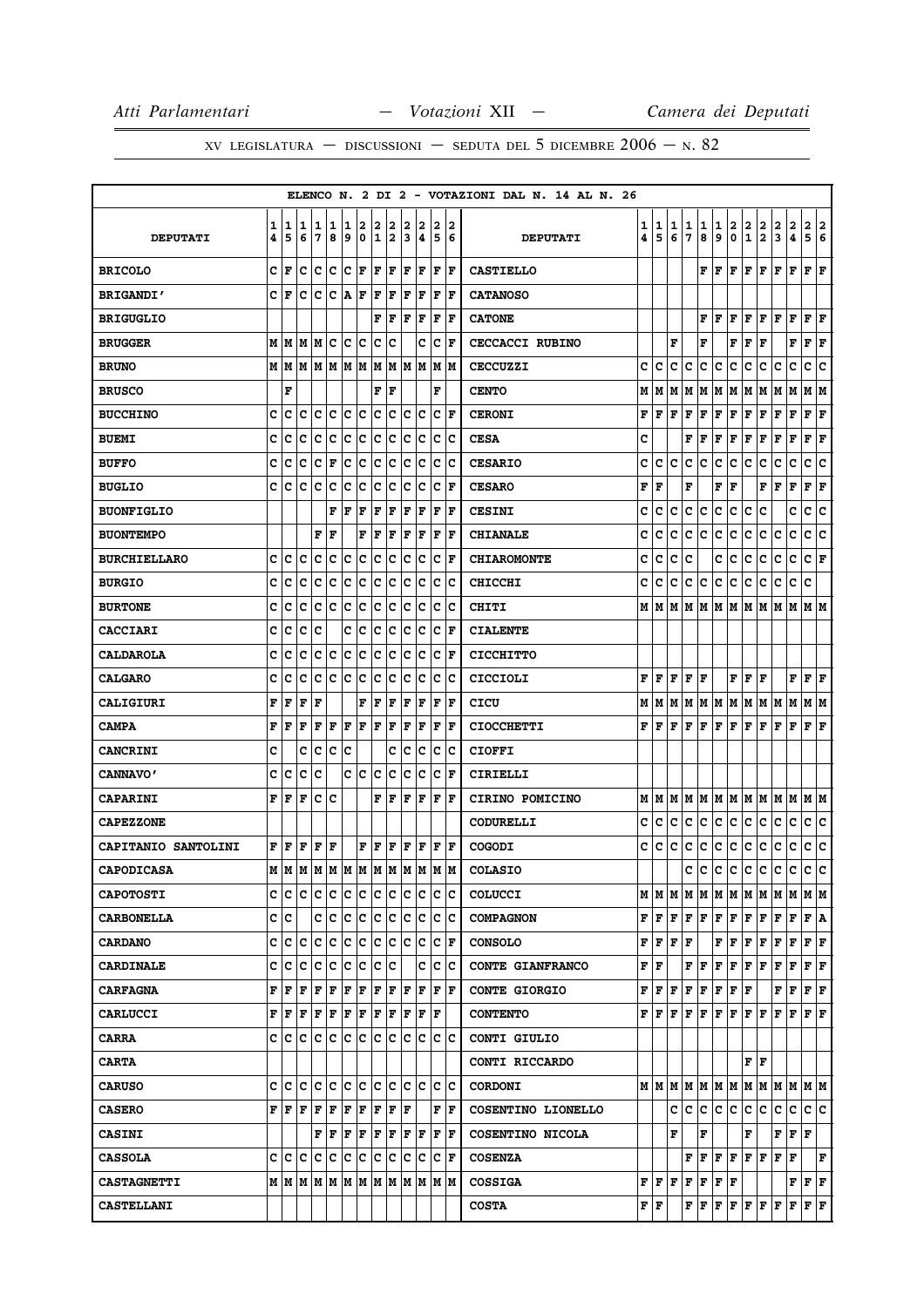|                            |   |      |     |     |             |     |     |     |     |     |     |                      |     | ELENCO N. 2 DI 2 - VOTAZIONI DAL N. 14 AL N. 26 |                           |                                                                       |   |             |                                                                                                                             |                              |                                     |                                       |                             |                   |                                              |                        |     |
|----------------------------|---|------|-----|-----|-------------|-----|-----|-----|-----|-----|-----|----------------------|-----|-------------------------------------------------|---------------------------|-----------------------------------------------------------------------|---|-------------|-----------------------------------------------------------------------------------------------------------------------------|------------------------------|-------------------------------------|---------------------------------------|-----------------------------|-------------------|----------------------------------------------|------------------------|-----|
|                            | 1 | 1    | 1   | 1   | 1           | 1   | 2   | 2   | 2   | 2   | 2   | 2                    | 2   |                                                 | 1                         | 1                                                                     | 1 | 1           | 1                                                                                                                           | 1                            |                                     |                                       |                             |                   |                                              | 2                      | 2   |
| <b>DEPUTATI</b>            | 4 | 5    | 6   | 7   | 8           | 9   | 0   | 1   | 2   | 3   | 4   | 5                    | 6   | <b>DEPUTATI</b>                                 | 4                         | 5                                                                     | 6 | 7           | 8                                                                                                                           | 9                            | $\begin{matrix} 2 \ 0 \end{matrix}$ | $\frac{2}{1}$                         | $\frac{2}{2}$               | $\frac{2}{3}$     | 2<br>4                                       | 5 <sup>1</sup>         | 6   |
| <b>BRICOLO</b>             | C | F    | c   | lc. | lc          | c   | l F | F   | F   | l F | F   | F                    | F   | <b>CASTIELLO</b>                                |                           |                                                                       |   |             | F                                                                                                                           | F                            | ΙF                                  | F                                     | F                           | F                 | F                                            | F                      | F   |
| <b>BRIGANDI'</b>           | C | F    | c   | c   | c           | A   | F   | F   | F   | F   | F   | F                    | F   | <b>CATANOSO</b>                                 |                           |                                                                       |   |             |                                                                                                                             |                              |                                     |                                       |                             |                   |                                              |                        |     |
| <b>BRIGUGLIO</b>           |   |      |     |     |             |     |     | F   | F   | F   | F   | F                    | l F | <b>CATONE</b>                                   |                           |                                                                       |   |             | F                                                                                                                           | F                            | ΙF                                  | F                                     | l F                         | F                 | F                                            | F                      | ΙF  |
| <b>BRUGGER</b>             | M | M    | M   | M   | c           | c   | c   | c   | с   |     | c   | c                    | F   | <b>CECCACCI RUBINO</b>                          |                           |                                                                       | F |             | F                                                                                                                           |                              | F                                   | F                                     | F                           |                   | F                                            | $ {\bf F}  {\bf F} $   |     |
| <b>BRUNO</b>               | M | M    | M   | M   | M           | M   | M   | M   | M   | M   | M   | M                    | M   | <b>CECCUZZI</b>                                 | c                         | C                                                                     | c | с           | c                                                                                                                           | с                            | c                                   | c                                     | c                           | c                 | c                                            | c                      | c   |
| <b>BRUSCO</b>              |   | F    |     |     |             |     |     | F   | F   |     |     | F                    |     | <b>CENTO</b>                                    | М                         | M                                                                     | М | M           | M                                                                                                                           | М                            | M                                   | M                                     | M                           | M                 | М                                            | МM                     |     |
| <b>BUCCHINO</b>            | c | c    | c   | c   | c           | c   | c   | c   | c   | c   | c   | c                    | F   | <b>CERONI</b>                                   | F                         | F                                                                     | F | F           | F                                                                                                                           | F                            | F                                   | F                                     | F                           | F                 | F                                            | ${\bf F} \mid {\bf F}$ |     |
| <b>BUEMI</b>               | C | Iс   | c   | c   | c           | c   | c   | c   | c   | c   | c   | c                    | Ιc  | <b>CESA</b>                                     | c                         |                                                                       |   | F           | F                                                                                                                           | F                            | F                                   | F                                     | F                           | F                 | F                                            | F                      | l F |
| <b>BUFFO</b>               | C | c    | c   | c   | F           | c   | c   | c   | c   | c   | c   | c                    | Iс  | <b>CESARIO</b>                                  | c                         | с                                                                     | с | c           | c                                                                                                                           | c                            | c                                   | c                                     | c                           | c                 | c                                            | c                      | lc. |
| <b>BUGLIO</b>              | c | c    | c   | c   | c           | c   | c   | c   | с   | c   | c   | c                    | l F | <b>CESARO</b>                                   | F                         | F                                                                     |   | F           |                                                                                                                             | F                            | F                                   |                                       | F                           | F                 | F                                            | F                      | F   |
| <b>BUONFIGLIO</b>          |   |      |     |     | F           | ΙF  | F   | F   | F   | F   | F   | F                    | F   | <b>CESINI</b>                                   | c                         | c                                                                     | c | c           | c                                                                                                                           | c                            | c                                   | c                                     | c                           |                   | c                                            | c                      | c   |
| <b>BUONTEMPO</b>           |   |      |     | F   | F           |     | F   | F   | F   | F   | F   | F                    | l F | <b>CHIANALE</b>                                 | c                         | C                                                                     | c | с           | c                                                                                                                           | c                            | c                                   | c                                     | c                           | c                 | c                                            | с                      | c   |
| <b>BURCHIELLARO</b>        | C | c    | C   | C   | lc          | C   | c   | C   | lc. | C   | c   | lc.                  | F   | <b>CHIAROMONTE</b>                              | c                         | C                                                                     | c | c           |                                                                                                                             | c                            | c                                   | c                                     | с                           | c                 | c                                            | c                      | lF  |
| <b>BURGIO</b>              | c | c    | c   | c   | c           | c   | c   | c   | c   | c   | c   | c                    | Ιc  | <b>CHICCHI</b>                                  | c                         | c                                                                     | c | c           | c                                                                                                                           | c                            | c                                   | c                                     | c                           | c                 | c                                            | c                      |     |
| <b>BURTONE</b>             | c | c    | C   | c   | c           | c   | c   | c   | c   | c   | c   | c                    | c   | CHITI                                           |                           | MIM                                                                   | М | м           | М                                                                                                                           | М                            | M                                   | М                                     | M                           | M                 | М                                            | мM                     |     |
| <b>CACCIARI</b>            | c | c    | c   | Iс  |             | c   | ∣c  | c   | c   | c   | c   | c                    | F   | <b>CIALENTE</b>                                 |                           |                                                                       |   |             |                                                                                                                             |                              |                                     |                                       |                             |                   |                                              |                        |     |
| <b>CALDAROLA</b>           | c | c    | c   | c   | c           | c   | c   | с   | с   | c   | c   | c                    | F   | <b>CICCHITTO</b>                                |                           |                                                                       |   |             |                                                                                                                             |                              |                                     |                                       |                             |                   |                                              |                        |     |
| <b>CALGARO</b>             | c | c    | c   | c   | c           | c   | ∣c  | c   | c   | c   | c   | c                    | Ιc  | CICCIOLI                                        | F                         | lF.                                                                   | F | F  F        |                                                                                                                             |                              |                                     | ${\bf F}$ $\bf   \bf F$ $\bf   \bf F$ |                             |                   | ${\bf F}$ $\bf F$ $\bf F$                    |                        |     |
| <b>CALIGIURI</b>           | F | F    | F   | F   |             |     | F   | F   | F   | F   | F   | F                    | F   | CICU                                            | М                         | M                                                                     | M | M           |                                                                                                                             | M   M   M                    |                                     | M                                     | M M                         |                   | M                                            | M  M                   |     |
| <b>CAMPA</b>               | F | F    | F   | F   | $\mathbf F$ | F   | F   | F   | F   | F   | F   | F                    | l F | <b>CIOCCHETTI</b>                               | F                         | l F                                                                   | F | $\mathbf F$ | F                                                                                                                           | $\mathbf F$                  | F                                   | F                                     | F                           | F                 | F                                            | F                      | F   |
| <b>CANCRINI</b>            | c |      | c   | c   | c           | c   |     |     | c   | c   | c   | c                    | Iс  | <b>CIOFFI</b>                                   |                           |                                                                       |   |             |                                                                                                                             |                              |                                     |                                       |                             |                   |                                              |                        |     |
| <b>CANNAVO'</b>            | c | c    | C   | c   |             | c   | c   | c   | c   | c   | c   | c                    | l F | CIRIELLI                                        |                           |                                                                       |   |             |                                                                                                                             |                              |                                     |                                       |                             |                   |                                              |                        |     |
| <b>CAPARINI</b>            | F | F    | F   | c   | lc          |     |     | F   | F   | F   | F   | F                    | F   | CIRINO POMICINO                                 |                           |                                                                       |   |             |                                                                                                                             |                              |                                     |                                       |                             |                   |                                              |                        |     |
| <b>CAPEZZONE</b>           |   |      |     |     |             |     |     |     |     |     |     |                      |     | <b>CODURELLI</b>                                | c                         | c                                                                     | с | с           | с                                                                                                                           | c                            | c                                   | c                                     | c                           | c                 | c                                            | c                      | c   |
| <b>CAPITANIO SANTOLINI</b> | F | F    | F   | F   | F           |     | F   | F   | F   | F   | F   | F                    | F   | <b>COGODI</b>                                   | c                         | c                                                                     | с | c           | с                                                                                                                           | c                            | c                                   | c                                     | c                           | c                 | с                                            | c                      | c   |
| <b>CAPODICASA</b>          | M | M    | M   | M   | M           | M   | M   | M   | M   | M   | M   | M                    | M   | <b>COLASIO</b>                                  |                           |                                                                       |   | c           | c c c c c c                                                                                                                 |                              |                                     |                                       |                             |                   | lc.                                          | c c                    |     |
| <b>CAPOTOSTI</b>           | c | lc.  | ١c  | с   | Iс          | c   | lC. | lc. | Iс  | lc. | lC. | ic ic                |     | <b>COLUCCI</b>                                  |                           |                                                                       |   |             |                                                                                                                             |                              |                                     |                                       |                             |                   |                                              |                        |     |
| <b>CARBONELLA</b>          |   | c  c |     | c   | ١c          | lc. | c   | lc. | lc. | lc. | lc. | lc Ic                |     | <b>COMPAGNON</b>                                |                           | F   F   F   F   F   F   F   F                                         |   |             |                                                                                                                             |                              |                                     |                                       |                             | F                 | F                                            | F A                    |     |
| <b>CARDANO</b>             | C | c    | Iс  | с   | c           | c   | c   | c   | lc. | c   | c   | C F                  |     | <b>CONSOLO</b>                                  |                           | $\mathbf{F} \mathbf{F} \mathbf{F} \mathbf{F}$                         |   |             |                                                                                                                             | ${\bf F} \mid {\bf F}$       |                                     | F                                     | F                           | F                 | F                                            | $ {\bf F}  {\bf F} $   |     |
| <b>CARDINALE</b>           | c | c    | lc. | с   | c           | c   | c   | c   | Iс  |     | c   | lc Ic                |     | <b>CONTE GIANFRANCO</b>                         | ${\bf F} \,   \, {\bf F}$ |                                                                       |   |             | FF                                                                                                                          | F F F F                      |                                     |                                       |                             | F                 | F                                            | F F                    |     |
| <b>CARFAGNA</b>            | F | F    | l F | F   | F           | F   | F   | F   | lF. | lF. | F   | F                    | ١F  | <b>CONTE GIORGIO</b>                            | F                         | F F                                                                   |   | F F         |                                                                                                                             | $ {\bf F}  {\bf F}  {\bf F}$ |                                     |                                       |                             | F                 | F                                            | F F                    |     |
| <b>CARLUCCI</b>            | F | F    | F   | F   | F           | F   | F   | F   | F   | F   | F   | F                    |     | <b>CONTENTO</b>                                 |                           | ${\bf F}$ $\bf [F]$ $\bf [F]$ $\bf [F]$ $\bf [F]$ $\bf [F]$ $\bf [F]$ |   |             |                                                                                                                             |                              |                                     |                                       |                             | lF.               | F                                            | $\bf{F}$ $\bf{F}$      |     |
| <b>CARRA</b>               | c | lc.  | Ιc  | с   | c           | c   | c   | lc. | lc. | lc. | lc. | lc Ic                |     | CONTI GIULIO                                    |                           |                                                                       |   |             |                                                                                                                             |                              |                                     |                                       |                             |                   |                                              |                        |     |
| <b>CARTA</b>               |   |      |     |     |             |     |     |     |     |     |     |                      |     | CONTI RICCARDO                                  |                           |                                                                       |   |             |                                                                                                                             |                              |                                     |                                       | ${\bf F} \parallel {\bf F}$ |                   |                                              |                        |     |
| <b>CARUSO</b>              | c | lc.  | lc. | с   | ١c          | lc. | lc. | IC. | lc. | lc. | lc. | lc Ic                |     | <b>CORDONI</b>                                  |                           |                                                                       |   |             |                                                                                                                             |                              |                                     |                                       |                             | MMMMMMMMMMMMMMM   |                                              |                        |     |
| <b>CASERO</b>              | F | F    | F   | F   | F           | F   | F   | F   | F   | ΙF  |     | F                    | ١F  | COSENTINO LIONELLO                              |                           |                                                                       |   | c Ic        | lc.                                                                                                                         | c c                          |                                     | C                                     | lc.                         | c                 | c                                            | c c                    |     |
| <b>CASINI</b>              |   |      |     | F   | F           | F   | F   | F   | F   |     | F F | $ {\bf F}  {\bf F} $ |     | COSENTINO NICOLA                                |                           |                                                                       | F |             | F                                                                                                                           |                              |                                     | F                                     |                             |                   | ${\bf F}$ $\left  {\bf F} \right $ ${\bf F}$ |                        |     |
| <b>CASSOLA</b>             | c | lc.  | Iс  | с   | c           | c   | c   | c   | c   | c   | c   | c                    | F   | <b>COSENZA</b>                                  |                           |                                                                       |   | F           | F                                                                                                                           | F F                          |                                     | F F                                   |                             | $\bf{F}$ $\bf{F}$ |                                              |                        | F   |
| <b>CASTAGNETTI</b>         | М | MM   |     | M M |             | M   | M   | M   | M   | M   | M   | M  M                 |     | <b>COSSIGA</b>                                  |                           | F F F                                                                 |   |             | F F F F                                                                                                                     |                              |                                     |                                       |                             |                   | ${\bf F} \, \, {\bf F} \, \, {\bf F}$        |                        |     |
| <b>CASTELLANI</b>          |   |      |     |     |             |     |     |     |     |     |     |                      |     | <b>COSTA</b>                                    | F F                       |                                                                       |   |             | $\mathbf{F} \left  \mathbf{F} \right  \mathbf{F} \left  \mathbf{F} \right  \mathbf{F} \left  \mathbf{F} \right  \mathbf{F}$ |                              |                                     |                                       |                             |                   | F                                            | F F                    |     |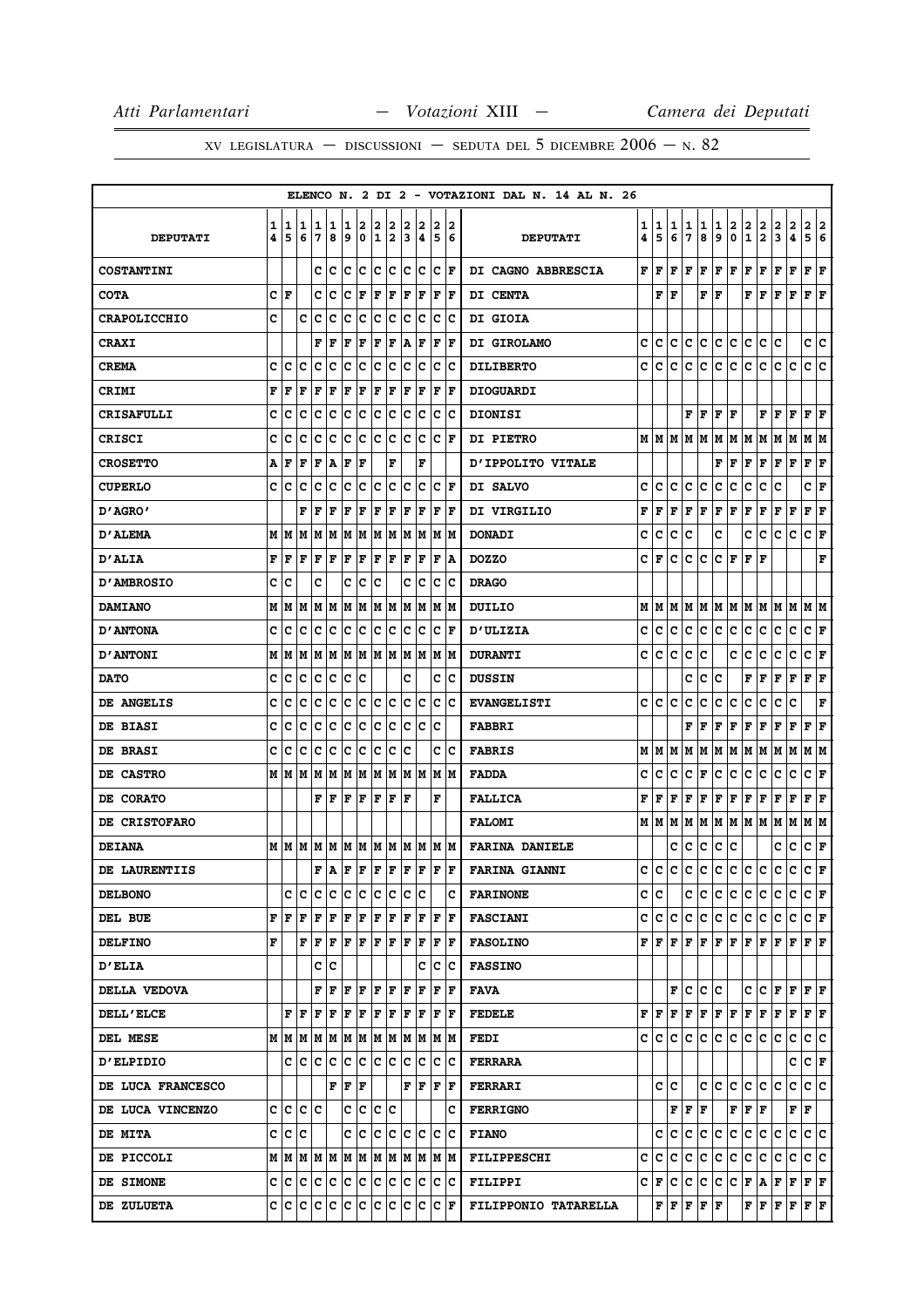XV LEGISLATURA — DISCUSSIONI — SEDUTA DEL 5 DICEMBRE  $2006 - N. 82$ 

|                     |        |        |        |        |        |        |             |                  |        |        |        |             |        | ELENCO N. 2 DI 2 - VOTAZIONI DAL N. 14 AL N. 26 |        |        |        |        |                                                                                        |               |        |                   |               |                |                           |                         |        |
|---------------------|--------|--------|--------|--------|--------|--------|-------------|------------------|--------|--------|--------|-------------|--------|-------------------------------------------------|--------|--------|--------|--------|----------------------------------------------------------------------------------------|---------------|--------|-------------------|---------------|----------------|---------------------------|-------------------------|--------|
| <b>DEPUTATI</b>     | 1<br>4 | 1<br>5 | 1<br>6 | 1<br>7 | 1<br>8 | 1<br>9 | 2<br>0      | 2<br>$\mathbf 1$ | 2<br>2 | 2<br>3 | 2<br>4 | 2<br>5      | 2<br>6 | <b>DEPUTATI</b>                                 | 1<br>4 | 1<br>5 | 1<br>6 | 1<br>7 | 1<br>8                                                                                 | 1<br>9        | 2<br>0 | 2<br>$\mathbf{1}$ | $\frac{2}{2}$ | 2<br>3         | 2<br>4                    | 2<br>5                  | 2<br>6 |
| <b>COSTANTINI</b>   |        |        |        | c      | c      | c      | c           | c                | c      | c      | c      | c           | F      | DI CAGNO ABBRESCIA                              | F      | F      | F      | F      | F                                                                                      | F             | F      | F                 | F             | F              | F                         | F                       | l F    |
| <b>COTA</b>         | c      | F      |        | c      | c      | c      | $\mathbf F$ | F                | F      | F      | F      | F           | l F    | DI CENTA                                        |        | F      | F      |        | F                                                                                      | F             |        | F                 | l F           | F              | F                         | F                       | l F    |
| <b>CRAPOLICCHIO</b> | c      |        | c      | C      | C      | C      | C           | C                | lc.    | C      | c      | c           | Ιc     | DI GIOIA                                        |        |        |        |        |                                                                                        |               |        |                   |               |                |                           |                         |        |
| <b>CRAXI</b>        |        |        |        | F      | F      | F      | F           | F                | F      | A      | F      | F           | l F    | DI GIROLAMO                                     | с      | c      | c      | с      | c                                                                                      | с             | lc.    | c                 | c             | Iс             |                           | c c                     |        |
| <b>CREMA</b>        | c      | c      | c      | c      | C      | c      | c           | c                | c      | c      | c      | c           | c      | <b>DILIBERTO</b>                                | c      | c      | c      | c      | c                                                                                      | c             | c      | c                 | C             | с              | c                         | c                       | c      |
| <b>CRIMI</b>        | F      | F      | F      | F      | F      | F      | F           | F                | F      | F      | F      | F           | F      | <b>DIOGUARDI</b>                                |        |        |        |        |                                                                                        |               |        |                   |               |                |                           |                         |        |
| <b>CRISAFULLI</b>   | c      | c      | c      | c      | c      | c      | c           | с                | c      | c      | c      | c           | Ιc     | <b>DIONISI</b>                                  |        |        |        | F      | F                                                                                      | F             | F      |                   | F             | F              | F                         | F                       | ΙF     |
| CRISCI              | c      | c      | c      | c      | c      | c      | ∣c          | c                | c      | c      | c      | c           | F      | <b>DI PIETRO</b>                                |        |        |        |        | M   M   M   M                                                                          | M   M   M     |        |                   | M             | M              | M                         | M  M                    |        |
| <b>CROSETTO</b>     | A      | F      | F      | F      | A      | F      | F           |                  | F      |        | F      |             |        | <b>D'IPPOLITO VITALE</b>                        |        |        |        |        |                                                                                        | F             | F      | F                 | F             | F              | F                         | F                       | F      |
| <b>CUPERLO</b>      | C      | с      | c      | c      | c      | c      | c           | c                | c      | c      | c      | c           | F      | DI SALVO                                        | c      | c      | c      | c      | c                                                                                      | c             | с      | c                 | c             | c              |                           | c                       | F      |
| "D'AGRO             |        |        | F      | F      | F      | F      | F           | F                | F      | F      | F      | F           | F      | DI VIRGILIO                                     | F      | F      | F      | F      | F                                                                                      | F             | F      | F                 | F             | F              | F                         | ${\bf F} \mid {\bf F}$  |        |
| D'ALEMA             | М      | M      | M      | M      | M      | M      | М           | M                | M      | M      | lМ     | lм          | M      | <b>DONADI</b>                                   | c      | c      | с      | c      |                                                                                        | c             |        | c                 | c             | с              | c                         | c                       | F      |
| <b>D'ALIA</b>       | F      | F      | F      | F      | F      | F      | F           | F                | F      | F      | F      | F           | A      | <b>DOZZO</b>                                    | с      | F      | с      | с      | с                                                                                      | C F           |        | F                 | ١F            |                |                           |                         | F      |
| <b>D'AMBROSIO</b>   | c      | c      |        | c      |        | c      | c           | c                |        | c      | c      | c           | c      | <b>DRAGO</b>                                    |        |        |        |        |                                                                                        |               |        |                   |               |                |                           |                         |        |
| <b>DAMIANO</b>      | М      | M      | M      | M      | M      | M      | M           | М                | M      | M      | M      | Μ           | M      | DUILIO                                          | м      | M      | М      | M      | M                                                                                      | M   M         |        | M                 | M             | M              | M                         | M  M                    |        |
| <b>D'ANTONA</b>     | C      | c      | C      | c      | c      | c      | c           | C                | c      | c      | c      | c           | F      | <b>D'ULIZIA</b>                                 | c      | c      | c      | с      | c                                                                                      | c             | c      | c                 | c             | с              | c                         | CF                      |        |
| <b>D'ANTONI</b>     | М      | M      | M      | M      | M      | M      | M           | M                | M      | M      | M      | M           | M      | <b>DURANTI</b>                                  | c      | c      | с      | c      | c                                                                                      |               | с      | c                 | c             | c              | c                         | c                       | F      |
| <b>DATO</b>         | c      | c      | c      | Iс     | c      | c      | c           |                  |        | c      |        | c           | Ιc     | <b>DUSSIN</b>                                   |        |        |        | c      | c                                                                                      | c             |        | F                 | F             | F              | F                         | $ {\bf F}  {\bf F} $    |        |
| DE ANGELIS          | C      | c      | c      | c      | c      | c      | c           | c                | c      | c      | c      | c           | C      | <b>EVANGELISTI</b>                              | c      | c      | c      | c      | c                                                                                      | c             | c      | c                 | c             | c              | c                         |                         | F      |
| DE BIASI            | c      | c      | c      | c      | c      | c      | c           | c                | c      | c      | c      | c           |        | <b>FABBRI</b>                                   |        |        |        | F      | F                                                                                      | F             | F      | F                 | F             | F              | F                         | F                       | ΙF     |
| DE BRASI            | c      | c      | c      | c      | c      | с      | c           | с                | с      | c      |        | c           | c      | <b>FABRIS</b>                                   | м      | IМ     | М      | м      | M                                                                                      | Μ             | M      | М                 | M             | M              | M                         | M   M                   |        |
| DE CASTRO           | М      | M      | M      | M      | M      | M      | M           | M                | M      | М      | M      | M           | M      | <b>FADDA</b>                                    | с      | c      | с      | c      | г                                                                                      | c             | с      | c                 | с             | c              | с                         | c                       | F      |
| DE CORATO           |        |        |        | F      | F      | F      | F           | F                | F      | l F    |        | $\mathbf F$ |        | <b>FALLICA</b>                                  | F      | F      | F      | F      | F                                                                                      | F             | F      | F                 | F             | F              | $\mathbf F$               | F                       | F      |
| DE CRISTOFARO       |        |        |        |        |        |        |             |                  |        |        |        |             |        | <b>FALOMI</b>                                   |        | M   M  | M      | M      | M                                                                                      | M   M   M   M |        |                   |               | M              | M                         | M  M                    |        |
| <b>DEIANA</b>       |        | MM     | M      |        | MM     | M      | M           | M                | M      | M      |        | M  M  M     |        | <b>FARINA DANIELE</b>                           |        |        | с      | с      | c                                                                                      | c             | c      |                   |               | c              | с                         | C F                     |        |
| DE LAURENTIIS       |        |        |        | F      | A      | F      | F           | F                | F      | F      | F      | ΙF          | l F    | <b>FARINA GIANNI</b>                            | c      | c      | c      | с      | c                                                                                      | c             | c      | c                 | c             | c              | c                         | C F                     |        |
| <b>DELBONO</b>      |        | с      | IС     | с      | c      | c      | c           | IС               | c      | c      | c      |             | c      | <b>FARINONE</b>                                 |        | c c    |        | c      | lc.                                                                                    | с             | IC.    | c                 | IC.           | c              | c                         | C F                     |        |
| DEL BUE             | F      | F      | F      | F      | F      | F      | F           | F                | F      | F      | F      | lF.         | l F    | <b>FASCIANI</b>                                 | c      | IC.    | C      | с      | c                                                                                      | c             | c      | C.                | IC.           | c              | с                         | $ C $ $\bf{F}$          |        |
| <b>DELFINO</b>      | F      |        | F      | F      | F      | F      | F           | F                | F      | F      | F      | F           | F      | <b>FASOLINO</b>                                 |        |        |        |        | ${\bf F}[{\bf F}[{\bf F}] {\bf F}[{\bf F}] {\bf F}[{\bf F}] {\bf F}[{\bf F}] {\bf F}]$ |               |        |                   |               |                |                           | F F F                   |        |
| <b>D'ELIA</b>       |        |        |        | c      | Iс     |        |             |                  |        |        | c      | c           | Ιc     | <b>FASSINO</b>                                  |        |        |        |        |                                                                                        |               |        |                   |               |                |                           |                         |        |
| DELLA VEDOVA        |        |        |        | F      | l F    | F      | lF.         | F                | lF.    | l F    | F      | F           | F      | <b>FAVA</b>                                     |        |        |        | F   C  | c c                                                                                    |               |        |                   |               |                |                           | $C$ $C$ $F$ $F$ $F$ $F$ |        |
| <b>DELL'ELCE</b>    |        | F      | F      | F      | F      | F      | F           | F                | F      | l F    | F      | F           | ١F     | <b>FEDELE</b>                                   |        |        |        |        |                                                                                        |               |        |                   |               |                |                           |                         |        |
| DEL MESE            |        | M M    | M      | M      | M      | M      | M           | M                | M      | M      | M      | M M         |        | <b>FEDI</b>                                     |        | c Ic   | lc.    | lc.    | IC.                                                                                    | c             | lc.    | C                 | lc.           | lc.            | c                         | c c                     |        |
| <b>D'ELPIDIO</b>    |        |        | C C    | с      | c      | IC.    | c           | c                | c      | c      | IC.    | IС          | ΙC     | <b>FERRARA</b>                                  |        |        |        |        |                                                                                        |               |        |                   |               |                | c                         | $ {\bf C}  {\bf F} $    |        |
| DE LUCA FRANCESCO   |        |        |        |        | F      | F      | F           |                  |        | F      | F      | lF.         | lF.    | <b>FERRARI</b>                                  |        | c      | lc.    |        |                                                                                        | c  c          | lc.    | C                 | lc.           | c              | c                         | c c                     |        |
| DE LUCA VINCENZO    | c      | lc.    | lc.    | lc     |        | c      | c           | lc.              | lc     |        |        |             | c      | <b>FERRIGNO</b>                                 |        |        |        | FF     | F                                                                                      |               |        | ${\bf F}$ $\bf F$ | F             |                | $\mathbf{F}   \mathbf{F}$ |                         |        |
| <b>DE MITA</b>      | c      | С      | lc     |        |        | c      | c           | c                | IС     | c      | lc.    | Iс          | Ιc     | <b>FIANO</b>                                    |        | c      | c      | с      | c                                                                                      | с             | c      | c                 | ∣c.           | C              | c                         | c c                     |        |
| DE PICCOLI          |        |        | MMMMMM |        |        | M      | M           | M                | M      | M      | M      |             | IM IM  | <b>FILIPPESCHI</b>                              | с      | c      | c      | c      | c                                                                                      | c.            | c      | c.                | lc.           | c              | lc.                       | c c                     |        |
| DE SIMONE           | c      |        | c c    | lc.    | c      | lc.    | c           | lc.              | c      | lc.    | c      | lc.         | Ιc     | <b>FILIPPI</b>                                  |        |        |        |        | C F C C C                                                                              | C C F A       |        |                   |               | F F            |                           | F F                     |        |
| DE ZULUETA          | с      | IС     | C      | с      | c      | c      | c           | c                | c      | c      | c      | Iс          | F      | FILIPPONIO TATARELLA                            |        |        |        |        | $\mathbf{F} \left  \mathbf{F} \right  \mathbf{F} \left  \mathbf{F} \right  \mathbf{F}$ |               |        |                   | FF            | $F$ $\mid$ $F$ |                           | F F                     |        |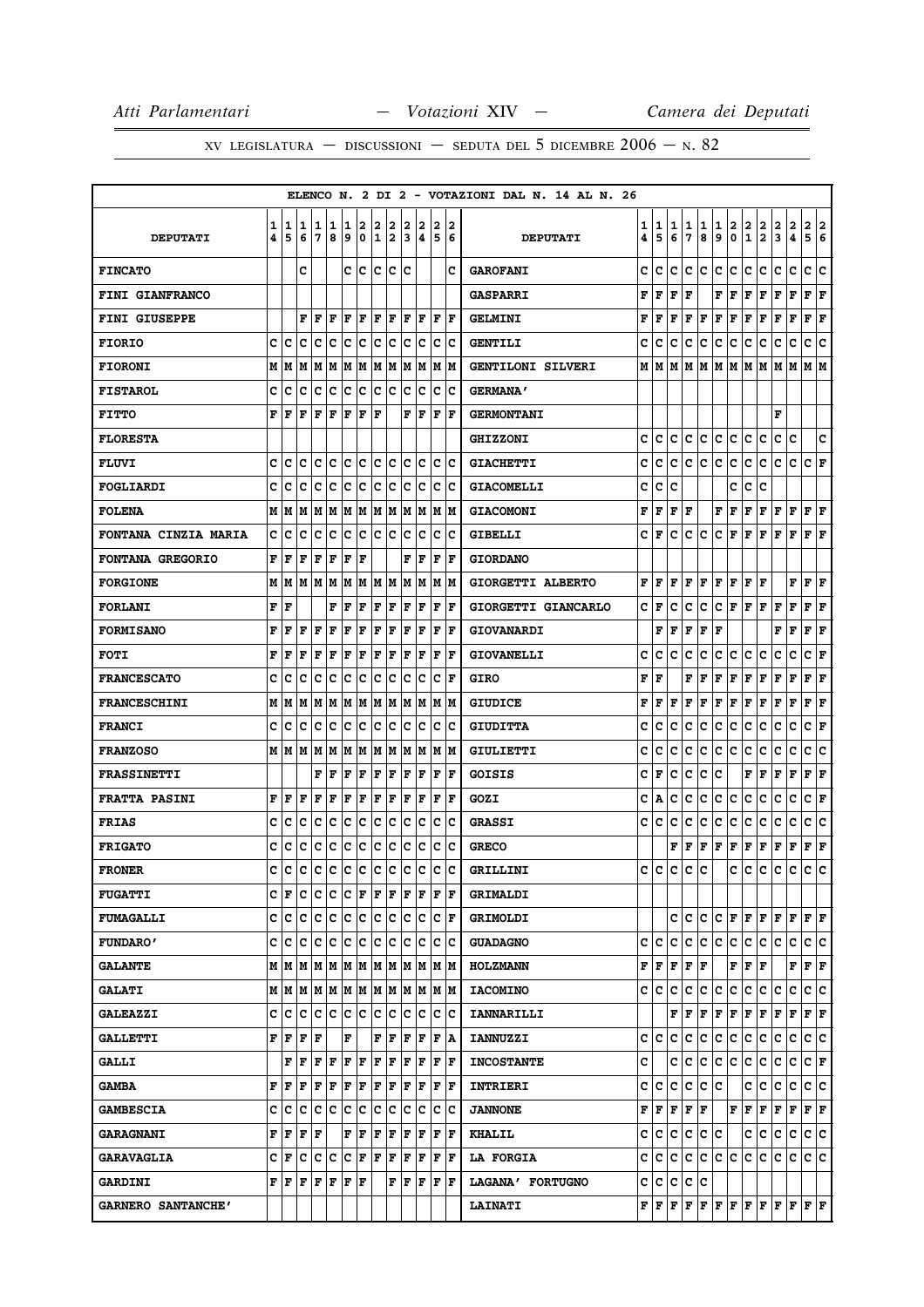|                             |        |                                                                                      |        |        |        |        |                    |            |                      |        |                                                                                                                                                                                                                                                                                                                                                                                                                                                                                            |        |                       | ELENCO N. 2 DI 2 - VOTAZIONI DAL N. 14 AL N. 26 |        |        |        |        |        |        |               |                        |               |               |               |                                                                                                                                                                                                                                                                                                                                                                                   |
|-----------------------------|--------|--------------------------------------------------------------------------------------|--------|--------|--------|--------|--------------------|------------|----------------------|--------|--------------------------------------------------------------------------------------------------------------------------------------------------------------------------------------------------------------------------------------------------------------------------------------------------------------------------------------------------------------------------------------------------------------------------------------------------------------------------------------------|--------|-----------------------|-------------------------------------------------|--------|--------|--------|--------|--------|--------|---------------|------------------------|---------------|---------------|---------------|-----------------------------------------------------------------------------------------------------------------------------------------------------------------------------------------------------------------------------------------------------------------------------------------------------------------------------------------------------------------------------------|
| <b>DEPUTATI</b>             | 1<br>4 | 1<br>5                                                                               | 1<br>6 | 1<br>7 | 1<br>8 | 1<br>و | 2                  | 2<br>0 1 2 | 2                    | 2<br>3 | 2<br>14                                                                                                                                                                                                                                                                                                                                                                                                                                                                                    | 2<br>5 | 2<br>16               | <b>DEPUTATI</b>                                 | 1<br>4 | 1<br>5 | 1<br>6 | 1<br>7 | 1<br>8 | 1<br>9 | $\frac{2}{0}$ | $\frac{2}{1}$          | $\frac{2}{2}$ | $\frac{2}{3}$ | $\frac{2}{4}$ | $\frac{2}{5}$<br>2<br>6                                                                                                                                                                                                                                                                                                                                                           |
| <b>FINCATO</b>              |        |                                                                                      | c      |        |        |        |                    |            | c c c c c            |        |                                                                                                                                                                                                                                                                                                                                                                                                                                                                                            |        | c                     | <b>GAROFANI</b>                                 | c      | c      | c      | c      | c      | c      | c             | с                      | c             | c             | c             | c<br>c                                                                                                                                                                                                                                                                                                                                                                            |
| FINI GIANFRANCO             |        |                                                                                      |        |        |        |        |                    |            |                      |        |                                                                                                                                                                                                                                                                                                                                                                                                                                                                                            |        |                       | <b>GASPARRI</b>                                 | F      | F      | F      | F      |        | F      | F             | F                      | F             | F             | F             | ${\bf F} \,   \, {\bf F}$                                                                                                                                                                                                                                                                                                                                                         |
| <b>FINI GIUSEPPE</b>        |        |                                                                                      | F      | F      | F      | F      | F                  | ΙF         | lF                   | ١F     | ١F                                                                                                                                                                                                                                                                                                                                                                                                                                                                                         | ١F     | ١F                    | <b>GELMINI</b>                                  | F      | F      | F      | F      | F      | F      | F             | F                      | F             | F             | F             | F<br>F                                                                                                                                                                                                                                                                                                                                                                            |
| <b>FIORIO</b>               | c      | c                                                                                    | c      | c      | с      | c      | c                  |            | c c                  | c      | Iс                                                                                                                                                                                                                                                                                                                                                                                                                                                                                         |        | c c                   | <b>GENTILI</b>                                  | c      | с      | с      | с      | с      | с      | с             | с                      | с             | с             | с             | с<br>c                                                                                                                                                                                                                                                                                                                                                                            |
|                             |        |                                                                                      |        |        |        |        |                    |            |                      |        |                                                                                                                                                                                                                                                                                                                                                                                                                                                                                            |        |                       |                                                 |        | М      |        |        |        | М      |               |                        |               |               |               |                                                                                                                                                                                                                                                                                                                                                                                   |
| <b>FIORONI</b>              | М      | М                                                                                    | М      | М      | М      | M      | M                  |            |                      |        | M  M  M  M                                                                                                                                                                                                                                                                                                                                                                                                                                                                                 |        | IM IM                 | GENTILONI SILVERI                               | М      |        | М      | М      | М      |        | M             | м                      | M             | М             | М             | МM                                                                                                                                                                                                                                                                                                                                                                                |
| <b>FISTAROL</b>             | c      | c                                                                                    | C      | c      | c      | c      | $\bar{\mathbf{c}}$ | c c        |                      | lc.    | c                                                                                                                                                                                                                                                                                                                                                                                                                                                                                          |        | $ {\bf c}\> {\bf c}$  | <b>GERMANA'</b>                                 |        |        |        |        |        |        |               |                        |               |               |               |                                                                                                                                                                                                                                                                                                                                                                                   |
| <b>FITTO</b>                | F      | F                                                                                    | F      | F      | F      | F      | F                  | F          |                      | F      | F                                                                                                                                                                                                                                                                                                                                                                                                                                                                                          |        | $ {\bf F}  {\bf F} $  | <b>GERMONTANI</b>                               |        |        |        |        |        |        |               |                        |               | F             |               |                                                                                                                                                                                                                                                                                                                                                                                   |
| <b>FLORESTA</b>             |        |                                                                                      |        |        |        |        |                    |            |                      |        |                                                                                                                                                                                                                                                                                                                                                                                                                                                                                            |        |                       | <b>GHIZZONI</b>                                 | c      | c      | c      | c      | c      | c      | c             | с                      | C             | с             | c             | c                                                                                                                                                                                                                                                                                                                                                                                 |
| <b>FLUVI</b>                | c      | c                                                                                    | c      | с      | с      |        |                    |            | c c c c              |        | c c                                                                                                                                                                                                                                                                                                                                                                                                                                                                                        |        | c c                   | <b>GIACHETTI</b>                                | c      | c      | с      | c      | с      | с      | c             | с                      | c             | c             | c             | $ C $ $\mathbf{F}$                                                                                                                                                                                                                                                                                                                                                                |
| <b>FOGLIARDI</b>            | c      | c                                                                                    | c      | c      | с      | c      | c                  | c          | Iс                   | c      | Iс                                                                                                                                                                                                                                                                                                                                                                                                                                                                                         | c      | Ιc                    | <b>GIACOMELLI</b>                               | c      | c      | c      |        |        |        | c             | с                      | c             |               |               |                                                                                                                                                                                                                                                                                                                                                                                   |
| <b>FOLENA</b>               |        | мIм                                                                                  | М      |        | M   M  |        |                    |            |                      |        | M  M  M  M  M  M  M  M                                                                                                                                                                                                                                                                                                                                                                                                                                                                     |        |                       | <b>GIACOMONI</b>                                | F      | F      | F      | F      |        | F      | F             | F                      | F             | F             | F             | F F                                                                                                                                                                                                                                                                                                                                                                               |
| <b>FONTANA CINZIA MARIA</b> | c      | c                                                                                    | c      | c      | c      | c      | c                  | c c        |                      | c      | lc                                                                                                                                                                                                                                                                                                                                                                                                                                                                                         | lc.    | Ιc                    | <b>GIBELLI</b>                                  | c      | F      | c      | c      | c      | c      | F             | F                      | F             | F             | $\mathbf F$   | ${\bf F}$ $\bf F$                                                                                                                                                                                                                                                                                                                                                                 |
| FONTANA GREGORIO            | F      | l F                                                                                  | F      | F      | F      | l F    | F                  |            |                      | F      | ١F                                                                                                                                                                                                                                                                                                                                                                                                                                                                                         | ΙF     | ١F                    | <b>GIORDANO</b>                                 |        |        |        |        |        |        |               |                        |               |               |               |                                                                                                                                                                                                                                                                                                                                                                                   |
| <b>FORGIONE</b>             |        | MИ                                                                                   |        |        |        |        |                    |            |                      |        | $M$   $M$   $M$   $M$   $M$   $M$   $M$   $M$   $M$   $M$   $M$                                                                                                                                                                                                                                                                                                                                                                                                                            |        |                       | GIORGETTI ALBERTO                               | F      | F      | F      | F      | F      | F      | F             | F                      | l F           |               | F             | ${\bf F} \,   \, {\bf F}$                                                                                                                                                                                                                                                                                                                                                         |
| <b>FORLANI</b>              | F      | F                                                                                    |        |        | F      | F      | F                  | l F        | F                    | ΙF     | F                                                                                                                                                                                                                                                                                                                                                                                                                                                                                          | l F    | lF                    | GIORGETTI GIANCARLO                             | C      | F      | c      | c      | c      | c      | F             | F                      | F             | F             | F             | F<br>F                                                                                                                                                                                                                                                                                                                                                                            |
| <b>FORMISANO</b>            | F      | F                                                                                    | F      | F      | F      | F      | F                  | F          | F                    | F      | F                                                                                                                                                                                                                                                                                                                                                                                                                                                                                          |        | $ {\bf F}  {\bf F} $  | <b>GIOVANARDI</b>                               |        | F      | F      | F      | F      | F      |               |                        |               | F             | F             | ${\bf F} \mid {\bf F}$                                                                                                                                                                                                                                                                                                                                                            |
| <b>FOTI</b>                 | F      | F                                                                                    | F      | F      | F      | F      | F                  | F          | F                    | F      | F                                                                                                                                                                                                                                                                                                                                                                                                                                                                                          | F      | F                     | <b>GIOVANELLI</b>                               | c      | c      | c      | c      | c      | c      | с             | с                      | c             | c             | c             | с<br>F                                                                                                                                                                                                                                                                                                                                                                            |
| <b>FRANCESCATO</b>          | c      | c                                                                                    | c      | c      | c      | c      | c                  | lc.        | Ιc                   | lc.    | Ιc                                                                                                                                                                                                                                                                                                                                                                                                                                                                                         |        | $ {\bf C}  {\bf F} $  | GIRO                                            | F      | F      |        | F      | F      | F      | F             | F                      | F             | F             | F             | F<br>F                                                                                                                                                                                                                                                                                                                                                                            |
| <b>FRANCESCHINI</b>         | М      | М                                                                                    | М      | м      | M      | M      | M                  |            |                      |        | M  M  M  M                                                                                                                                                                                                                                                                                                                                                                                                                                                                                 |        | IM IM                 | <b>GIUDICE</b>                                  | F      | F      | F      | F      | F      | F      | F             | F                      | F             | F             | F             | F<br>lF                                                                                                                                                                                                                                                                                                                                                                           |
| <b>FRANCI</b>               | c      | c                                                                                    | c      | c      | c      | c      | c                  |            | $ {\bf c}\> {\bf c}$ | ١c     | lc                                                                                                                                                                                                                                                                                                                                                                                                                                                                                         | lc.    | ΙC                    | <b>GIUDITTA</b>                                 | c      | C      | c      | c      | c      | с      | c             | c                      | c             | c             | c             | c<br>F                                                                                                                                                                                                                                                                                                                                                                            |
| <b>FRANZOSO</b>             |        | MIM                                                                                  |        |        |        |        |                    |            |                      |        | M  M  M  M  M  M  M  M  M  M  M                                                                                                                                                                                                                                                                                                                                                                                                                                                            |        |                       | GIULIETTI                                       | c      | c      | c      | c      | c      | c      | с             | c                      | c             | c             | с             | ١c<br>c                                                                                                                                                                                                                                                                                                                                                                           |
| <b>FRASSINETTI</b>          |        |                                                                                      |        | F      | F      | F      | F                  | l F        | lF                   | lF.    | lF                                                                                                                                                                                                                                                                                                                                                                                                                                                                                         | l F    | lF                    | <b>GOISIS</b>                                   | c      | F      | c      | c      | с      | c      |               | F                      | F             | F             | F             | F<br>F                                                                                                                                                                                                                                                                                                                                                                            |
| <b>FRATTA PASINI</b>        | F      | ١F                                                                                   | F      | F      | F      | F      | F                  | F          | F                    | F      | F                                                                                                                                                                                                                                                                                                                                                                                                                                                                                          |        | $ {\bf F}  {\bf F} $  | GOZI                                            | c      | А      | c      | c      | с      | с      | с             | c                      | c             | с             | c             | C F                                                                                                                                                                                                                                                                                                                                                                               |
| <b>FRIAS</b>                | c      | c                                                                                    | c      | c      | c      | c      | c                  | IС         | c                    | c      | Iс                                                                                                                                                                                                                                                                                                                                                                                                                                                                                         | Iс     | Ιc                    | <b>GRASSI</b>                                   | c      | c      | c      | с      | с      | c      | с             | с                      | с             | с             | с             | c<br>с                                                                                                                                                                                                                                                                                                                                                                            |
| <b>FRIGATO</b>              | c      | c                                                                                    | c      | c      | c      | c      | c                  |            | c c                  | c      | ∣c                                                                                                                                                                                                                                                                                                                                                                                                                                                                                         |        | c c                   | <b>GRECO</b>                                    |        |        | F      | F      | F      | F      | F             | F                      | F             | F             | F             | F<br>F                                                                                                                                                                                                                                                                                                                                                                            |
| <b>FRONER</b>               | C      | C                                                                                    | C      | c      |        |        |                    |            |                      |        | c c c c c c c c                                                                                                                                                                                                                                                                                                                                                                                                                                                                            |        | c c                   | GRILLINI                                        | C      | C      | C      | C      | C      |        | C             | c                      | c             | c             | $\mathbf c$   | c<br>c                                                                                                                                                                                                                                                                                                                                                                            |
| <b>FUGATTI</b>              |        | C F                                                                                  |        |        |        |        |                    |            |                      |        | C C C C F F F F F F F F                                                                                                                                                                                                                                                                                                                                                                                                                                                                    |        |                       | <b>GRIMALDI</b>                                 |        |        |        |        |        |        |               |                        |               |               |               |                                                                                                                                                                                                                                                                                                                                                                                   |
| <b>FUMAGALLI</b>            |        |                                                                                      |        |        |        |        |                    |            |                      |        | c  c  c  c  c  c  c  c  c  c  c  c  F                                                                                                                                                                                                                                                                                                                                                                                                                                                      |        |                       | <b>GRIMOLDI</b>                                 |        |        |        | c Ic   | c      |        |               |                        |               |               |               | C F F F F F F F F                                                                                                                                                                                                                                                                                                                                                                 |
| <b>FUNDARO'</b>             |        | c c                                                                                  |        |        |        |        |                    |            |                      |        |                                                                                                                                                                                                                                                                                                                                                                                                                                                                                            |        |                       | <b>GUADAGNO</b>                                 | c      | c      | c      | c      | c      | c      | c             | c                      | c             | c             | c             | C C                                                                                                                                                                                                                                                                                                                                                                               |
| <b>GALANTE</b>              |        |                                                                                      |        |        |        |        |                    |            |                      |        |                                                                                                                                                                                                                                                                                                                                                                                                                                                                                            |        |                       | <b>HOLZMANN</b>                                 | F      | F      | F      | F      | F      |        | F             | ${\bf F} \mid {\bf F}$ |               |               | F             | F F                                                                                                                                                                                                                                                                                                                                                                               |
| <b>GALATI</b>               |        |                                                                                      |        |        |        |        |                    |            |                      |        |                                                                                                                                                                                                                                                                                                                                                                                                                                                                                            |        |                       | <b>IACOMINO</b>                                 | c      | c      | с      | с      | c      | c      | c             | с                      | c             | c             | c             | c c                                                                                                                                                                                                                                                                                                                                                                               |
| <b>GALEAZZI</b>             | c l    | c                                                                                    | с      |        |        |        |                    |            |                      |        | c  c  c  c  c  c  c  c  c  c                                                                                                                                                                                                                                                                                                                                                                                                                                                               |        |                       | <b>IANNARILLI</b>                               |        |        | F      | F      | F      | F      | F             |                        |               |               |               | $\bf{F} \bf{F} \bf{F} \bf{F} \bf{F} \bf{F}$                                                                                                                                                                                                                                                                                                                                       |
| <b>GALLETTI</b>             |        | ${\bf F}$ $\bf  F $ $\bf F$ $\bf  F$                                                 |        |        |        | F      |                    |            | F F                  |        | F F F A                                                                                                                                                                                                                                                                                                                                                                                                                                                                                    |        |                       | <b>IANNUZZI</b>                                 |        | c  c   | c      | с      | c      | c      | c.            | c                      | c.            | с             | c             | c c                                                                                                                                                                                                                                                                                                                                                                               |
| <b>GALLI</b>                |        |                                                                                      |        |        |        |        |                    |            |                      |        | ${\bf F}$ $\left  {\bf F} \right.$ $\left  {\bf F} \right.$ $\left  {\bf F} \right.$ $\left  {\bf F} \right.$ $\left  {\bf F} \right.$ $\left  {\bf F} \right.$ $\left  {\bf F} \right.$ $\left  {\bf F} \right.$ $\left  {\bf F} \right.$ $\left  {\bf F} \right.$ $\left  {\bf F} \right.$                                                                                                                                                                                               |        |                       | <b>INCOSTANTE</b>                               | c      |        | c      | c      | c      | c      | c             | c                      | c             | c             | c             | C F                                                                                                                                                                                                                                                                                                                                                                               |
| <b>GAMBA</b>                |        | FF                                                                                   |        |        |        |        |                    |            |                      |        |                                                                                                                                                                                                                                                                                                                                                                                                                                                                                            |        |                       | <b>INTRIERI</b>                                 | c      | с      | c      | с      | c      | c      |               | c                      | c             | с             | c             | c c                                                                                                                                                                                                                                                                                                                                                                               |
| <b>GAMBESCIA</b>            |        | c c                                                                                  |        |        |        |        |                    |            |                      |        |                                                                                                                                                                                                                                                                                                                                                                                                                                                                                            |        |                       | <b>JANNONE</b>                                  | F      | F      | F      | F      | F      |        |               | FF                     | F             |               |               | F F F F                                                                                                                                                                                                                                                                                                                                                                           |
| <b>GARAGNANI</b>            |        | ${\bf F}$ $\left  {\bf F} \right.$ $\left  {\bf F} \right.$ $\left  {\bf F} \right.$ |        |        |        |        |                    |            |                      |        | $\mathbf{F} \left  \mathbf{F} \right. \left  \mathbf{F} \right. \left  \mathbf{F} \right. \left  \mathbf{F} \right. \left  \mathbf{F} \right. \left  \mathbf{F} \right. \left  \mathbf{F} \right. \left  \mathbf{F} \right. \left  \mathbf{F} \right. \left  \mathbf{F} \right. \left  \mathbf{F} \right. \left  \mathbf{F} \right. \left  \mathbf{F} \right. \left  \mathbf{F} \right. \left  \mathbf{F} \right. \left  \mathbf{F} \right. \left  \mathbf{F} \right. \left  \mathbf{F} \$ |        |                       | <b>KHALIL</b>                                   | с      | c      | с      | c      | C      | c      |               | с                      | с             | с             | с             | c c                                                                                                                                                                                                                                                                                                                                                                               |
| <b>GARAVAGLIA</b>           |        | CF                                                                                   | с      | c      | IC.    |        |                    |            |                      |        | $ {\bf C}\, {\bf F}\, {\bf F}\, {\bf F}\, {\bf F}\, {\bf F}\, {\bf F}\, {\bf F}\, {\bf F}\, $                                                                                                                                                                                                                                                                                                                                                                                              |        |                       | <b>LA FORGIA</b>                                | c      | с      | c      | c      | с      | c      | c             | c                      | с             | c             | c             | c c                                                                                                                                                                                                                                                                                                                                                                               |
| <b>GARDINI</b>              |        | ${\bf F}$ $\bf [F]$ $\bf [F]$ $\bf [F]$ $\bf [F]$ $\bf [F]$                          |        |        |        |        |                    |            |                      |        | ${\bf F} \,   \, {\bf F} \,   \, {\bf F}$                                                                                                                                                                                                                                                                                                                                                                                                                                                  |        | $ {\bf F} $ ${\bf F}$ | LAGANA' FORTUGNO                                | c      | lc.    | c      | c      | c      |        |               |                        |               |               |               |                                                                                                                                                                                                                                                                                                                                                                                   |
| GARNERO SANTANCHE'          |        |                                                                                      |        |        |        |        |                    |            |                      |        |                                                                                                                                                                                                                                                                                                                                                                                                                                                                                            |        |                       | <b>LAINATI</b>                                  |        | F F F  |        |        |        |        |               |                        |               |               |               | $ {\bf F}\, {\bf F}\, {\bf F}\, {\bf F}\, {\bf F}\, {\bf F}\, {\bf F}\, {\bf F}\, {\bf F}\, {\bf F}\, {\bf F}\, {\bf F}\, {\bf F}\, {\bf F}\, {\bf F}\, {\bf F}\, {\bf F}\, {\bf F}\, {\bf F}\, {\bf F}\, {\bf F}\, {\bf F}\, {\bf F}\, {\bf F}\, {\bf F}\, {\bf F}\, {\bf F}\, {\bf F}\, {\bf F}\, {\bf F}\, {\bf F}\, {\bf F}\, {\bf F}\, {\bf F}\, {\bf F}\, {\bf F}\, {\bf F$ |
|                             |        |                                                                                      |        |        |        |        |                    |            |                      |        |                                                                                                                                                                                                                                                                                                                                                                                                                                                                                            |        |                       |                                                 |        |        |        |        |        |        |               |                        |               |               |               |                                                                                                                                                                                                                                                                                                                                                                                   |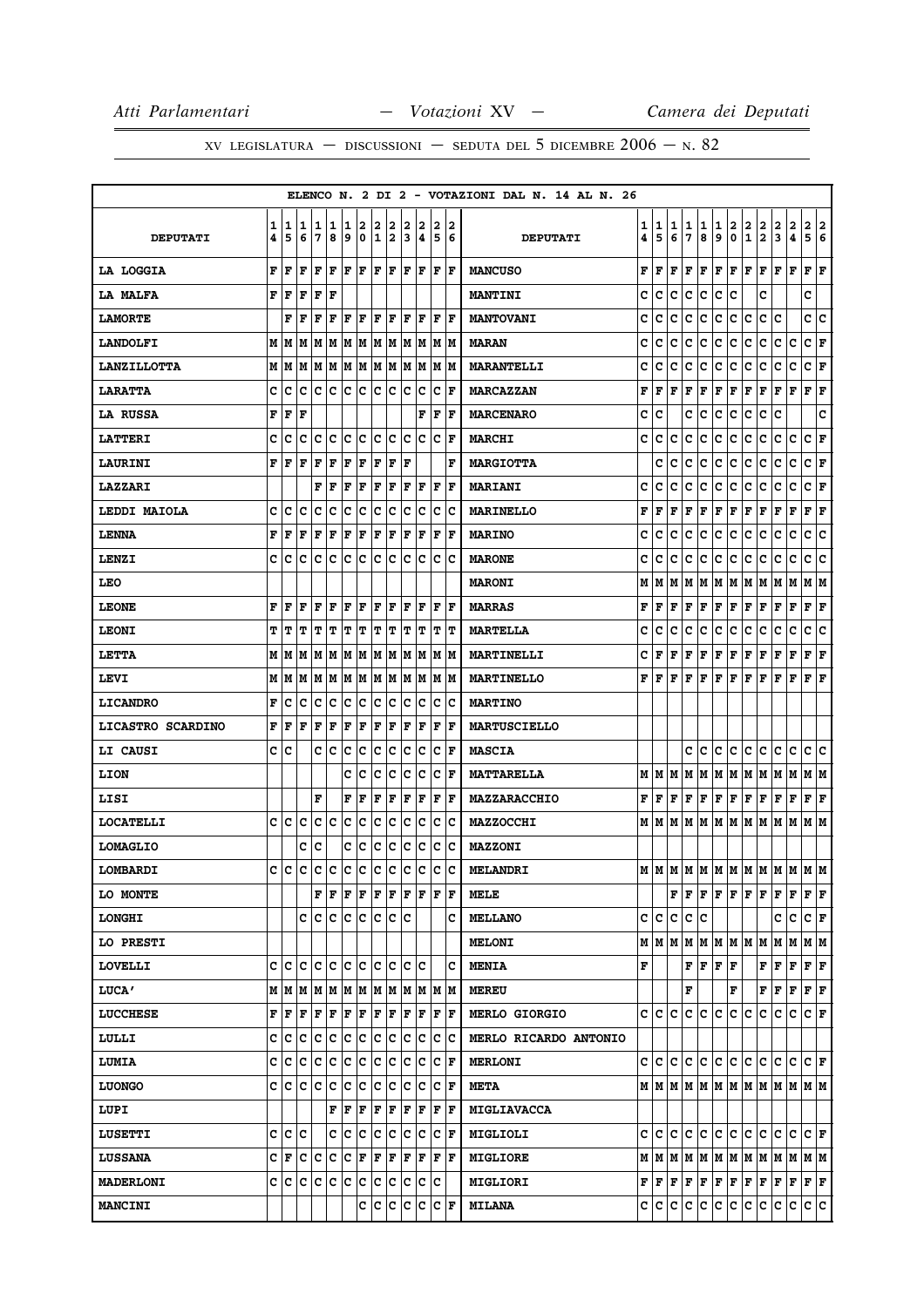|                    |        |        |                                 |        |              |        |        |        |             |        |        |                           |        | ELENCO N. 2 DI 2 - VOTAZIONI DAL N. 14 AL N. 26 |        |                                 |        |        |        |                                                                                                                                                                                                                                                                                                                                                                                                                                                                                            |                             |                   |                              |                                                                                                                                                 |                                                                       |                      |     |
|--------------------|--------|--------|---------------------------------|--------|--------------|--------|--------|--------|-------------|--------|--------|---------------------------|--------|-------------------------------------------------|--------|---------------------------------|--------|--------|--------|--------------------------------------------------------------------------------------------------------------------------------------------------------------------------------------------------------------------------------------------------------------------------------------------------------------------------------------------------------------------------------------------------------------------------------------------------------------------------------------------|-----------------------------|-------------------|------------------------------|-------------------------------------------------------------------------------------------------------------------------------------------------|-----------------------------------------------------------------------|----------------------|-----|
| <b>DEPUTATI</b>    | 1<br>4 | 1<br>5 | 1<br>6                          | 1<br>7 | 1<br>8       | 1<br>9 | 2<br>0 | 2<br>1 | 2<br>2      | 2<br>3 | 2<br>4 | 2<br>5                    | 2<br>6 | <b>DEPUTATI</b>                                 | 1<br>4 | 1<br>5                          | 1<br>6 | 1<br>7 | 1<br>8 | 1<br>9                                                                                                                                                                                                                                                                                                                                                                                                                                                                                     | $\mathbf{2}$<br>$\mathbf 0$ | 2<br>$\mathbf{1}$ | 2<br>$\overline{\mathbf{2}}$ | 2<br>$\mathbf{3}$                                                                                                                               | 2<br>4                                                                | 2 2<br>5             | 6   |
| LA LOGGIA          | F      | F      | l F                             | F      | l F          | F      | l F    | F      | lF.         | lF.    | lF.    | F                         | ١F     | <b>MANCUSO</b>                                  | F      | l F                             | F      | F      | F      | F                                                                                                                                                                                                                                                                                                                                                                                                                                                                                          | F                           | F                 | F                            | F                                                                                                                                               | $\mathbf F$                                                           | F                    | ΙF  |
| <b>LA MALFA</b>    | F      | lF     | l F                             | F      | ΙF           |        |        |        |             |        |        |                           |        | <b>MANTINI</b>                                  | c      | lc.                             | lc.    | lc.    | c      | c                                                                                                                                                                                                                                                                                                                                                                                                                                                                                          | lc                          |                   | C                            |                                                                                                                                                 |                                                                       | c                    |     |
| <b>LAMORTE</b>     |        | F      | l F                             | F      | F            | F      | F      | ΙF     | F           | F      | F      | F                         | lF.    | <b>MANTOVANI</b>                                | c      | c                               | c      | c      | c      | c                                                                                                                                                                                                                                                                                                                                                                                                                                                                                          | c                           | c                 | c                            | c                                                                                                                                               |                                                                       | c                    | c   |
| <b>LANDOLFI</b>    |        | M   M  | M                               | M      | M            |        | M M    | M M    |             |        | M M    |                           | M M    | <b>MARAN</b>                                    | c      | c                               | c      | c      | с      | с                                                                                                                                                                                                                                                                                                                                                                                                                                                                                          | c                           | с                 | c                            | с                                                                                                                                               | c                                                                     | CF                   |     |
| <b>LANZILLOTTA</b> | M      | M      | M                               | M      | M            | M      | M      | M      | M           | lм     | M      | M                         | M      | <b>MARANTELLI</b>                               | c      | c                               | c      | c      | c      | с                                                                                                                                                                                                                                                                                                                                                                                                                                                                                          | c                           | с                 | c                            | c                                                                                                                                               | c                                                                     | c                    | F   |
| <b>LARATTA</b>     | c      | c      | c                               | c      | c            | c      | c      | c      | c           | c      | c      | $\mathbf C$               | F      | <b>MARCAZZAN</b>                                | F      | l F                             | F      | F      | F      | F                                                                                                                                                                                                                                                                                                                                                                                                                                                                                          | F                           | F                 | F                            | F                                                                                                                                               | $\mathbf F$                                                           | F                    | lF  |
| <b>LA RUSSA</b>    | F      | F      | l F                             |        |              |        |        |        |             |        | F      | F                         | F      | <b>MARCENARO</b>                                | c      | c                               |        | c      | c      | c                                                                                                                                                                                                                                                                                                                                                                                                                                                                                          | c                           | c                 | c                            | c                                                                                                                                               |                                                                       |                      | c   |
| <b>LATTERI</b>     | c      | c      | c                               | c      | Iс           | c      | Iс     | c      | Iс          | c      | Iс     | c                         | lF     | <b>MARCHI</b>                                   | c      | c                               | c      | c      | с      | с                                                                                                                                                                                                                                                                                                                                                                                                                                                                                          | c                           | с                 | с                            | с                                                                                                                                               | c                                                                     | C F                  |     |
| <b>LAURINI</b>     | F      | l F    | l F                             | F      | F            | F      | F      | F      | F           | ΙF     |        |                           | F      | <b>MARGIOTTA</b>                                |        | c                               | c      | c      | c      | c                                                                                                                                                                                                                                                                                                                                                                                                                                                                                          | c                           | c                 | c                            | c                                                                                                                                               | c                                                                     | $ c _{\mathbf{F}}$   |     |
| <b>LAZZARI</b>     |        |        |                                 | F      | $\mathbf{F}$ | F      | F      | F      | F           | F      | F      | ΙF                        | F      | <b>MARIANI</b>                                  | c      | c                               | c      | c      | с      | c                                                                                                                                                                                                                                                                                                                                                                                                                                                                                          | c                           | c                 | c                            | с                                                                                                                                               | c                                                                     | c                    | F   |
| LEDDI MAIOLA       | c      | Ιc     | c                               | c      | c            | c      | c      | c      | c           | с      | Iс     | c                         | ΙC     | <b>MARINELLO</b>                                | F      | F                               | F      | F      | F      | F                                                                                                                                                                                                                                                                                                                                                                                                                                                                                          | F                           | F                 | F                            | F                                                                                                                                               | F                                                                     | $ {\bf F}  {\bf F} $ |     |
| <b>LENNA</b>       | F      | F      | F                               | F      | $\mathbf F$  | F      | F      | F      | F           | F      | ΙF     | $\mathbf F$               | F      | <b>MARINO</b>                                   | c      | c                               | c      | c      | с      | c                                                                                                                                                                                                                                                                                                                                                                                                                                                                                          | c                           | c                 | c                            | c                                                                                                                                               | c                                                                     | с                    | c   |
| LENZI              | C      | c      | lc                              | Iс     | lc.          | lc.    | c      | lc     | lc          | lc.    | Ιc     | c                         | Ιc     | <b>MARONE</b>                                   | с      | c                               | c      | c      | c      | c                                                                                                                                                                                                                                                                                                                                                                                                                                                                                          | c                           | c                 | c                            | с                                                                                                                                               | c                                                                     | c                    | c   |
| <b>LEO</b>         |        |        |                                 |        |              |        |        |        |             |        |        |                           |        | <b>MARONI</b>                                   | М      | IМ                              |        |        |        | M  M  M  M  M  M  M                                                                                                                                                                                                                                                                                                                                                                                                                                                                        |                             |                   |                              | M                                                                                                                                               | M                                                                     | M  M                 |     |
| <b>LEONE</b>       | F      | F      | F                               | F      | F            | F      | F      | F      | F           | F      | F      | F                         | lF.    | <b>MARRAS</b>                                   | F      | l F                             | F      | F      | F      | $ {\bf F}  {\bf F} $                                                                                                                                                                                                                                                                                                                                                                                                                                                                       |                             | F                 | F                            | F                                                                                                                                               | $\mathbf F$                                                           | F                    | F   |
| <b>LEONI</b>       | т      | IТ     | т                               | T      | т            | IΤ     | т      | IΤ     | T           | ΙT     | IΤ     | ΙT                        | IΤ     | <b>MARTELLA</b>                                 | c      | C                               | c      | с      | c      | с                                                                                                                                                                                                                                                                                                                                                                                                                                                                                          | c                           | с                 | с                            | с                                                                                                                                               | c                                                                     | c                    | ∣c  |
| LETTA              |        | MM     | lм                              | M      | IМ           | M      | M      | M      | M           | M      | M      | lм                        | lМ     | MARTINELLI                                      | c      | l F                             | F      | F      | F      | F                                                                                                                                                                                                                                                                                                                                                                                                                                                                                          | F                           | F                 | F                            | F                                                                                                                                               | $\mathbf F$                                                           | F                    | F   |
| LEVI               |        | M   M  | M                               |        | M  M         |        | M M    |        | M M         |        | MM     |                           | M  M   | <b>MARTINELLO</b>                               | F      | lF.                             | F      | F      | F      | $ {\bf F}  {\bf F} $                                                                                                                                                                                                                                                                                                                                                                                                                                                                       |                             | F                 | F                            | F                                                                                                                                               | F                                                                     | $\bf{F}$ $\bf{F}$    |     |
| <b>LICANDRO</b>    | F      | c      | C                               | c      | c            | c      | c      | c      | c           | c      | c      | c                         | c      | <b>MARTINO</b>                                  |        |                                 |        |        |        |                                                                                                                                                                                                                                                                                                                                                                                                                                                                                            |                             |                   |                              |                                                                                                                                                 |                                                                       |                      |     |
| LICASTRO SCARDINO  | F      | l F    | l F                             | F      | F            | F      | F      | F      | F           | F      | F      | $\mathbf F$               | F      | <b>MARTUSCIELLO</b>                             |        |                                 |        |        |        |                                                                                                                                                                                                                                                                                                                                                                                                                                                                                            |                             |                   |                              |                                                                                                                                                 |                                                                       |                      |     |
| <b>LI CAUSI</b>    |        | c  c   |                                 | c      | Iс           | c      | c      | Ιc     | Iс          | lc.    | Iс     | c                         | F      | <b>MASCIA</b>                                   |        |                                 |        | c      | c      | с                                                                                                                                                                                                                                                                                                                                                                                                                                                                                          | Ιc                          | c                 | c                            | c                                                                                                                                               | c                                                                     | c                    | lc. |
| LION               |        |        |                                 |        |              | c      | Ιc     | c      | Ιc          | lc.    | Iс     | c                         | l F    | <b>MATTARELLA</b>                               |        | M   M   M   M                   |        |        |        | M  M                                                                                                                                                                                                                                                                                                                                                                                                                                                                                       |                             | MM                |                              | M                                                                                                                                               | M                                                                     | M  M                 |     |
| LISI               |        |        |                                 | F      |              | F      | F      | F      | F           | F      | F      | F                         | F      | MAZZARACCHIO                                    | F      | F F F F                         |        |        |        | F F                                                                                                                                                                                                                                                                                                                                                                                                                                                                                        |                             | F F               |                              | F                                                                                                                                               | F                                                                     | ${\bf F}$ ${\bf F}$  |     |
| <b>LOCATELLI</b>   |        | c Ic   | Ιc                              | c      | Iс           | lc.    | c      | c      | c           | c      | Iс     | c                         | Ιc     | <b>MAZZOCCHI</b>                                |        |                                 |        |        |        |                                                                                                                                                                                                                                                                                                                                                                                                                                                                                            |                             |                   |                              |                                                                                                                                                 |                                                                       | M M                  |     |
| <b>LOMAGLIO</b>    |        |        | с                               | c      |              | с      | ∣c     | c      | c           | c      | c      | c                         | c      | <b>MAZZONI</b>                                  |        |                                 |        |        |        |                                                                                                                                                                                                                                                                                                                                                                                                                                                                                            |                             |                   |                              |                                                                                                                                                 |                                                                       |                      |     |
| LOMBARDI           |        | c c    | c                               | c      | c            | c      | c      | c      | c           | c      | c      | c                         | c      | <b>MELANDRI</b>                                 |        |                                 |        |        |        |                                                                                                                                                                                                                                                                                                                                                                                                                                                                                            |                             |                   |                              |                                                                                                                                                 |                                                                       |                      |     |
| <b>LO MONTE</b>    |        |        |                                 | F      | ΙF           | F      | F      | F      | F           | lF.    | ١F     | ΙF                        | ŀF     | MELE                                            |        |                                 |        |        |        | $\mathbf{F} \left  \mathbf{F} \right. \left  \mathbf{F} \right. \left  \mathbf{F} \right. \left  \mathbf{F} \right. \left  \mathbf{F} \right. \left  \mathbf{F} \right. \left  \mathbf{F} \right. \left  \mathbf{F} \right. \left  \mathbf{F} \right. \left  \mathbf{F} \right. \left  \mathbf{F} \right. \left  \mathbf{F} \right. \left  \mathbf{F} \right. \left  \mathbf{F} \right. \left  \mathbf{F} \right. \left  \mathbf{F} \right. \left  \mathbf{F} \right. \left  \mathbf{F} \$ |                             |                   |                              | F                                                                                                                                               | $\mathbf F$                                                           | $ {\bf F}  {\bf F} $ |     |
| <b>LONGHI</b>      |        |        | c                               | c c    |              |        | c c    |        | c c c       |        |        |                           | c      | <b>MELLANO</b>                                  |        | c c                             |        | c c c  |        |                                                                                                                                                                                                                                                                                                                                                                                                                                                                                            |                             |                   |                              | c                                                                                                                                               | c                                                                     | $ C $ $\mathbf{F}$   |     |
| <b>LO PRESTI</b>   |        |        |                                 |        |              |        |        |        |             |        |        |                           |        | <b>MELONI</b>                                   |        | $M$ $M$ $M$ $M$ $M$ $M$ $M$ $M$ |        |        |        |                                                                                                                                                                                                                                                                                                                                                                                                                                                                                            |                             |                   | M                            | M                                                                                                                                               | M                                                                     | M M                  |     |
| <b>LOVELLI</b>     |        |        | e le le le le le le le le le le |        |              |        |        |        |             |        |        |                           | c      | <b>MENIA</b>                                    | F      |                                 |        |        |        | $ {\bf F}  {\bf F}  {\bf F} $ ${\bf F}$                                                                                                                                                                                                                                                                                                                                                                                                                                                    |                             |                   | F                            | F                                                                                                                                               | F                                                                     | F F                  |     |
| <b>LUCA'</b>       |        | MM     | lм                              |        |              |        |        |        |             |        |        | M  M  M  M  M  M  M  M  M | lм     | <b>MEREU</b>                                    |        |                                 |        | F      |        |                                                                                                                                                                                                                                                                                                                                                                                                                                                                                            | F                           |                   | F                            | F                                                                                                                                               | F                                                                     | $ {\bf F}  {\bf F} $ |     |
| <b>LUCCHESE</b>    | F      | F      | F                               | F      | F            | F      | F      | F      | F           | F      | F      | F                         | F      | <b>MERLO GIORGIO</b>                            |        | C C                             | lc.    | lc.    | lc.    | lc.                                                                                                                                                                                                                                                                                                                                                                                                                                                                                        | lc.                         | ١c                | c                            | с                                                                                                                                               | с                                                                     | $ C $ $\mathbf{F}$   |     |
| LULLI              | c      | C      | lc                              | c      | c            | c      | c      | c      | c           | c      | Ιc     | c                         | ∣c     | MERLO RICARDO ANTONIO                           |        |                                 |        |        |        |                                                                                                                                                                                                                                                                                                                                                                                                                                                                                            |                             |                   |                              |                                                                                                                                                 |                                                                       |                      |     |
| <b>LUMIA</b>       | C      | c      | lc                              | c      | c            | c      | c      | c      | Iс          | lc.    | Ιc     | c                         | F      | <b>MERLONI</b>                                  |        | c c c c c c c c c c c c         |        |        |        |                                                                                                                                                                                                                                                                                                                                                                                                                                                                                            |                             |                   |                              |                                                                                                                                                 | lc.                                                                   | $ c _{\mathbf{F}}$   |     |
| <b>LUONGO</b>      |        | c c    | Ιc                              | Iс     | c            | Ιc     | c      | c      | c           | lc.    | Iс     | c                         | F      | <b>META</b>                                     |        |                                 |        |        |        |                                                                                                                                                                                                                                                                                                                                                                                                                                                                                            |                             |                   |                              |                                                                                                                                                 | $M$   $M$   $M$   $M$   $M$   $M$   $M$   $M$   $M$   $M$   $M$   $M$ |                      |     |
| LUPI               |        |        |                                 |        | F            | lF     | F      | F      | F           | F      | F      | F                         | ١F     | <b>MIGLIAVACCA</b>                              |        |                                 |        |        |        |                                                                                                                                                                                                                                                                                                                                                                                                                                                                                            |                             |                   |                              |                                                                                                                                                 |                                                                       |                      |     |
| <b>LUSETTI</b>     |        |        | c c c                           |        |              | c c    | c      | c c    |             | lc.    | ∣c     | $ {\bf C}  {\bf F} $      |        | MIGLIOLI                                        |        |                                 |        |        |        |                                                                                                                                                                                                                                                                                                                                                                                                                                                                                            |                             |                   |                              |                                                                                                                                                 | c c c c c c c c c c c c c r                                           |                      |     |
| <b>LUSSANA</b>     |        | CF     | c                               | с      | c            | c      | F      | F      | F           | F      | F      | F                         | lF.    | <b>MIGLIORE</b>                                 |        |                                 |        |        |        |                                                                                                                                                                                                                                                                                                                                                                                                                                                                                            |                             |                   |                              |                                                                                                                                                 | $M$   $M$   $M$   $M$   $M$   $M$   $M$   $M$   $M$   $M$   $M$   $M$ |                      |     |
| <b>MADERLONI</b>   | с      | IС     | ∣c                              | c      | ∣c           | c      | ∣c     | IC.    | $ {\bf c} $ | IC.    | ∣c     | c                         |        | <b>MIGLIORI</b>                                 |        |                                 |        |        |        |                                                                                                                                                                                                                                                                                                                                                                                                                                                                                            |                             |                   |                              | ${\bf F}\, \,{\bf F}\, \,{\bf F}\, \,{\bf F}\, \,{\bf F}\, \,{\bf F}\, \,{\bf F}\, \,{\bf F}\, \,{\bf F}\, \,{\bf F}\, \,{\bf F}\, \,{\bf F}\,$ |                                                                       | $ {\bf F}  {\bf F} $ |     |
| <b>MANCINI</b>     |        |        |                                 |        |              |        | C      | ∣c     | c           | ∣c     | lc.    | $ c _F$                   |        | <b>MILANA</b>                                   |        | c c c c c c c c c c             |        |        |        |                                                                                                                                                                                                                                                                                                                                                                                                                                                                                            |                             |                   |                              | С                                                                                                                                               | c                                                                     | c c                  |     |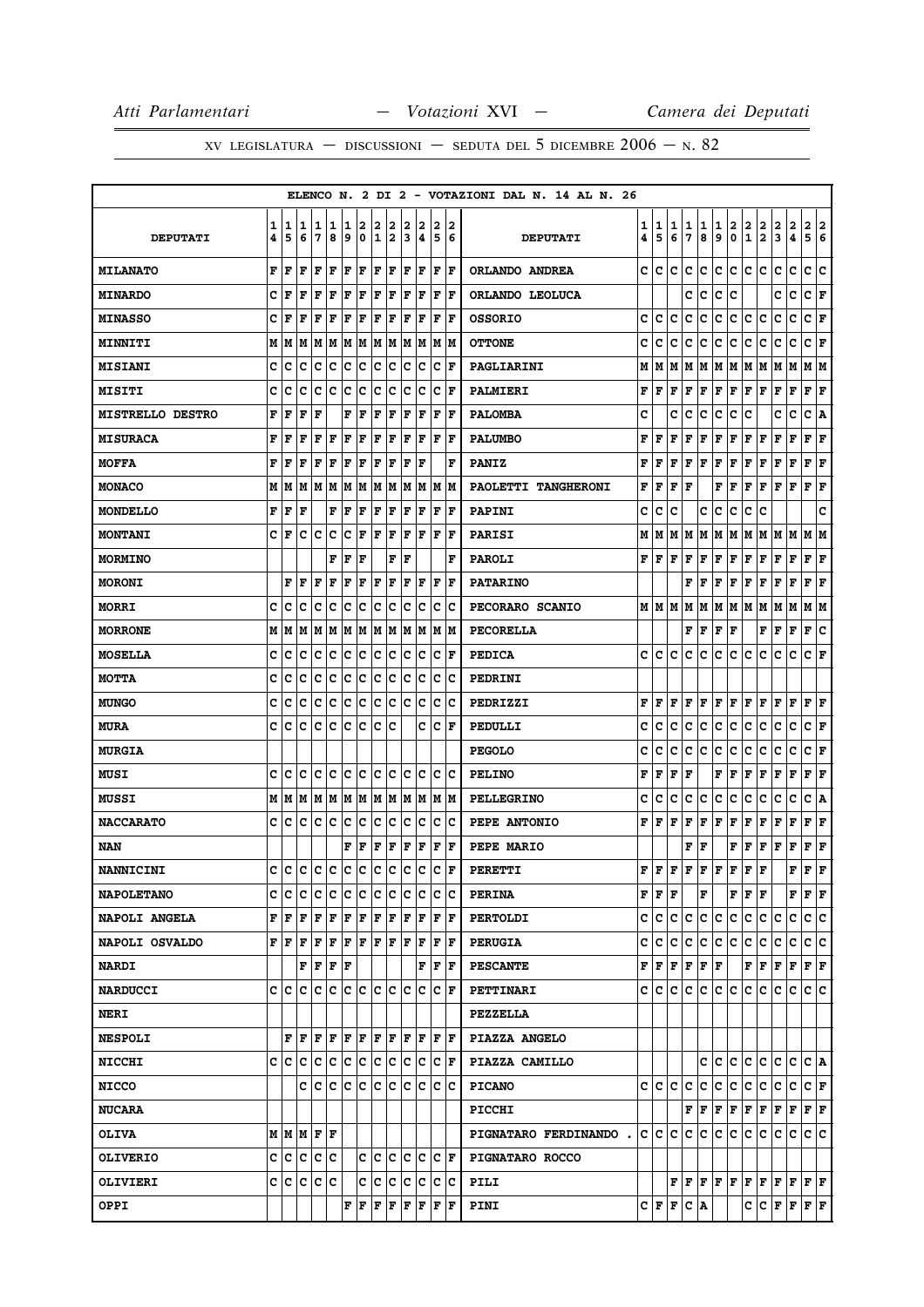|                         |        |        |        |        |        |        |        |                   |        |             |        |             |        | ELENCO N. 2 DI 2 - VOTAZIONI DAL N. 14 AL N. 26 |        |           |        |        |                                                                                                                  |                        |        |                                         |                                                                                                                                                   |        |                  |                                                                                        |        |
|-------------------------|--------|--------|--------|--------|--------|--------|--------|-------------------|--------|-------------|--------|-------------|--------|-------------------------------------------------|--------|-----------|--------|--------|------------------------------------------------------------------------------------------------------------------|------------------------|--------|-----------------------------------------|---------------------------------------------------------------------------------------------------------------------------------------------------|--------|------------------|----------------------------------------------------------------------------------------|--------|
| <b>DEPUTATI</b>         | 1<br>4 | 1<br>5 | 1<br>6 | 1<br>7 | 1<br>8 | 1<br>9 | 2<br>0 | 2<br>$\mathbf{1}$ | 2<br>2 | 2<br>3      | 2<br>4 | 2<br>5      | 2<br>6 | <b>DEPUTATI</b>                                 | 1<br>4 | 1<br>5    | 1<br>6 | 1<br>7 | 1<br>8                                                                                                           | 1<br>9                 | 2<br>0 | $\overline{\mathbf{2}}$<br>$\mathbf{1}$ | $\overline{\mathbf{2}}$<br>$\mathbf{2}$                                                                                                           | 2<br>3 | $\mathbf 2$<br>4 | $\mathbf{2}$<br>5                                                                      | 2<br>6 |
| <b>MILANATO</b>         | F      | F      | F      | F      | l F    | F      | F      | F                 | F      | $\mathbf F$ | F      | F           | F      | ORLANDO ANDREA                                  | c      | c         | c      | c      | c                                                                                                                | c                      | c      | c                                       | C                                                                                                                                                 | c      | c                | c                                                                                      | c      |
| <b>MINARDO</b>          | C      | F      | F      | F      | F      | l F    | F      | F                 | F      | l F         | F      | F           | l F    | ORLANDO LEOLUCA                                 |        |           |        | c      | c                                                                                                                | c                      | c      |                                         |                                                                                                                                                   | c      | c                | C F                                                                                    |        |
| <b>MINASSO</b>          | c      | F      | F      | F      | F      | F      | F      | F                 | F      | F           | F      | F           | l F    | <b>OSSORIO</b>                                  | c      | c         | c      | c      | c                                                                                                                | c                      | с      | с                                       | c                                                                                                                                                 | c      | с                | c                                                                                      | F      |
| MINNITI                 | М      | M      | M      | M      | M      | M      | M      | M M               |        |             | M M    |             | M  M   | <b>OTTONE</b>                                   | c      | c         | c      | с      | c                                                                                                                | с                      | c      | с                                       | c                                                                                                                                                 | с      | c                | C F                                                                                    |        |
| <b>MISIANI</b>          | c      | c      | c      | c      | c      | c      | c      | c                 | c      | c           | Iс     | с           | F      | PAGLIARINI                                      | М      | м         | М      | Μ      | M                                                                                                                |                        | M   M  | M                                       | M                                                                                                                                                 | M      | M                | M   M                                                                                  |        |
| MISITI                  | c      | c      | c      | c      | c      | c      | c      | с                 | с      | c           | Ιc     | с           | F      | PALMIERI                                        | F      | F         | F      | F      | F                                                                                                                | F                      | F      | F                                       | F                                                                                                                                                 | F      | F                | F                                                                                      | F      |
| <b>MISTRELLO DESTRO</b> | F      | F      | F      | F      |        | F      | F      | ΙF                | F      | F           | ΙF     | F           | F      | <b>PALOMBA</b>                                  | c      |           | c      | с      | с                                                                                                                | с                      | с      | c                                       |                                                                                                                                                   | c      | c                | c                                                                                      | Α      |
| <b>MISURACA</b>         | F      | F      | F      | F      | F      | F      | F      | F                 | F      | F           | F      | F           | l F    | <b>PALUMBO</b>                                  | F      | F         | F      | F      | F                                                                                                                | F                      | F      | F                                       | F                                                                                                                                                 | F      | F                | ${\bf F}$ ${\bf F}$                                                                    |        |
| <b>MOFFA</b>            | F      | F      | F      | F      | F      | F      | F      | F                 | F      | F           | l F    |             | F      | <b>PANIZ</b>                                    | F      | F         | F      | F      | F                                                                                                                | F                      | F      | F                                       | F                                                                                                                                                 | F      | F                | F                                                                                      | F      |
| <b>MONACO</b>           | М      | M      | M      | M      | M      | M      | M      | M                 | M      | М           | M      | M           | lМ     | PAOLETTI TANGHERONI                             | F      | F         | F      | F      |                                                                                                                  | F                      | ١F     | F                                       | l F                                                                                                                                               | lF.    | F                | F                                                                                      | F      |
| <b>MONDELLO</b>         | F      | F      | F      |        | F      | F      | F      | F                 | F      | F           | F      | F           | F      | <b>PAPINI</b>                                   | с      | с         | c      |        | с                                                                                                                | с                      | с      | с                                       | c                                                                                                                                                 |        |                  |                                                                                        | c      |
| <b>MONTANI</b>          | c      | F      | c      | c      | c      | c      | F      | ΙF                | F      | F           | F      | ΙF          | ΙF     | <b>PARISI</b>                                   | М      | м         | М      | М      | M                                                                                                                | М                      | M      | М                                       | M                                                                                                                                                 | MM     |                  | M                                                                                      | м      |
| <b>MORMINO</b>          |        |        |        |        | F      | F      | F      |                   | F      | l F         |        |             | F      | <b>PAROLI</b>                                   | F      | F         | F      | F      | F                                                                                                                | F                      | F      | F                                       | F                                                                                                                                                 | F      | F                | ${\bf F} \,   \, {\bf F}$                                                              |        |
| <b>MORONI</b>           |        | F      | F      | F      | F      | F      | F      | F                 | F      | F           | F      | $\mathbf F$ | l F    | <b>PATARINO</b>                                 |        |           |        | F      | F                                                                                                                | F                      | F      | F                                       | F                                                                                                                                                 | F      | F                | F                                                                                      | F      |
| <b>MORRI</b>            | c      | c      | c      | c      | c      | c      | c      | c                 | с      | c           | Ιc     | c           | ΙC     | PECORARO SCANIO                                 |        | M   M   M |        | M      | M                                                                                                                | M  M  M                |        |                                         | M M                                                                                                                                               |        | M                | M  M                                                                                   |        |
| <b>MORRONE</b>          | М      | M      | M      | M      | M      | M      | M      | M                 | M      | M           | M      | M           | lМ     | <b>PECORELLA</b>                                |        |           |        |        | F   F                                                                                                            | ${\bf F} \mid {\bf F}$ |        |                                         | F                                                                                                                                                 | Г      | F                | F                                                                                      | c      |
| <b>MOSELLA</b>          | c      | Iс     | c      | c      | c      | Ιc     | c      | lc.               | с      | c           | Ιc     | c           | l F    | <b>PEDICA</b>                                   | c      | c         | c      | c      | c                                                                                                                | с                      | c      | c                                       | с                                                                                                                                                 | с      | c                | c                                                                                      | ΙF     |
| <b>MOTTA</b>            | c      | c      | c      | c      | c      | c      | ∣c     | c                 | c      | c           | c      | c           | Ιc     | PEDRINI                                         |        |           |        |        |                                                                                                                  |                        |        |                                         |                                                                                                                                                   |        |                  |                                                                                        |        |
| <b>MUNGO</b>            | c      | c      | c      | c      | c      | c      | c      | c                 | с      | c           | Ιc     | c           | Iс     | PEDRIZZI                                        | F      | F         | F      | F      | F                                                                                                                | F                      | F      | F                                       | F                                                                                                                                                 | F      | F                | F                                                                                      | F      |
| <b>MURA</b>             | c      | с      | с      | c      | c      | c      | c      | c                 | c      |             | c      | c           | F      | PEDULLI                                         | c      | с         | с      | с      | c                                                                                                                | с                      | c      | с                                       | c                                                                                                                                                 | с      | с                | C F                                                                                    |        |
| <b>MURGIA</b>           |        |        |        |        |        |        |        |                   |        |             |        |             |        | <b>PEGOLO</b>                                   | c      | с         | с      | c      | c                                                                                                                | c                      | с      | c                                       | c                                                                                                                                                 | c      | c                | c                                                                                      | F      |
| <b>MUSI</b>             | C      | C      | C      | c      | lc     | lc.    | c      | C                 | lc     | $\mathbf c$ | Iс     | c           | ١c     | <b>PELINO</b>                                   | F      | F         | F      | F      |                                                                                                                  | F                      | F      | $\rm\bf  F $                            | F F                                                                                                                                               |        | F                | F                                                                                      | F      |
| <b>MUSSI</b>            | М      | M      | M      | M      | M      | M      | M      | M M               |        | M           | M      |             | M  M   | <b>PELLEGRINO</b>                               | c      | с         | с      | c      | с                                                                                                                | с                      | с      | с                                       | с                                                                                                                                                 | c      | с                | с                                                                                      | ١A     |
| <b>NACCARATO</b>        | c      | с      | c      | Iс     | Iс     | Ιc     | c      | lc.               | Ιc     | c           | Ιc     | c           | ΙC     | PEPE ANTONIO                                    | F      | l F       | F      | F      | F                                                                                                                | F                      | F      | F                                       | F                                                                                                                                                 | F      | F                | F                                                                                      | F      |
| NAN                     |        |        |        |        |        | F      | F      | F                 | F      | F           | F      | F           | F      | <b>PEPE MARIO</b>                               |        |           |        | F      | F                                                                                                                |                        | F      | F                                       | F                                                                                                                                                 | F      | F                | $ {\bf F}  {\bf F}$                                                                    |        |
| <b>NANNICINI</b>        | c      | Iс     | lc.    | lc.    | c      | lc.    | lc.    | lc.               | lc.    | lc.         | lc.    | c           | F      | <b>PERETTI</b>                                  | F      | l F       | F      | F      | F                                                                                                                | F                      | F      | F                                       | F                                                                                                                                                 |        | F                | F                                                                                      | F      |
| <b>NAPOLETANO</b>       | c      | с      | c      | c      | c      | IC.    | c      | c                 | c      | c           | Ιc     | c           | Ιc     | <b>PERINA</b>                                   |        | FF        | F      |        | F                                                                                                                |                        |        | F F F                                   |                                                                                                                                                   |        |                  | ${\bf F}$ $\bf  F$ $\bf  F$                                                            |        |
| NAPOLI ANGELA           | F      | F      | F      | F      | F      | F      | F      | F                 | F      | l F         | F      | l F         | lF.    | <b>PERTOLDI</b>                                 | c      | c         | c      | c      | c.                                                                                                               | c                      | c.     | c                                       | c.                                                                                                                                                | c      | c                | c c                                                                                    |        |
| NAPOLI OSVALDO          | F      | lF     | l F    | F      | F      | F      | F      | F                 | F      | F           | F      | $\mathbf F$ | ١F     | <b>PERUGIA</b>                                  | c      | lc.       | c      | c.     | c                                                                                                                |                        | c c    | c                                       | c.                                                                                                                                                | c      | c                | c c                                                                                    |        |
| <b>NARDI</b>            |        |        | F      | F      | F      | F      |        |                   |        |             | F      | F           | ١F     | <b>PESCANTE</b>                                 |        |           |        |        | $\mathbf{F} \left  \mathbf{F} \right  \mathbf{F} \left  \mathbf{F} \right  \mathbf{F} \left  \mathbf{F} \right.$ |                        |        |                                         |                                                                                                                                                   |        |                  | F F F F F F                                                                            |        |
| <b>NARDUCCI</b>         | C      | Iс     | c      | Iс     | Iс     | lc.    | lc.    | lc.               | Iс     | lc.         | lc.    | c           | lF.    | PETTINARI                                       | c      | c         | c      | c      | c                                                                                                                |                        | c c    | lc.                                     | c                                                                                                                                                 | с      | c                | c Ic                                                                                   |        |
| <b>NERI</b>             |        |        |        |        |        |        |        |                   |        |             |        |             |        | <b>PEZZELLA</b>                                 |        |           |        |        |                                                                                                                  |                        |        |                                         |                                                                                                                                                   |        |                  |                                                                                        |        |
| <b>NESPOLI</b>          |        | F      | F      | F      | l F    | F      | l F    | l F               | F      | ΙF          | F      | F           | lF.    | PIAZZA ANGELO                                   |        |           |        |        |                                                                                                                  |                        |        |                                         |                                                                                                                                                   |        |                  |                                                                                        |        |
| <b>NICCHI</b>           | c      | c      | ∣c     | c      | c      | lc.    | ∣c     | c                 | ∣c     | c           | ∣c     | IС          | F      | PIAZZA CAMILLO                                  |        |           |        |        |                                                                                                                  | c c c                  |        | c c                                     |                                                                                                                                                   | c.     |                  | C C A                                                                                  |        |
| <b>NICCO</b>            |        |        | c      | Iс     | lc.    | lc.    | c      | c                 | lc     | c           | Iс     | lc.         | lc     | <b>PICANO</b>                                   |        | c c       | c      | c      | c                                                                                                                |                        | c c    | c c                                     |                                                                                                                                                   | c c    |                  | C F                                                                                    |        |
| <b>NUCARA</b>           |        |        |        |        |        |        |        |                   |        |             |        |             |        | <b>PICCHI</b>                                   |        |           |        |        |                                                                                                                  |                        |        |                                         | $\mathbf{F} \,   \, \mathbf{F} \,   \, \mathbf{F} \,   \, \mathbf{F} \,   \, \mathbf{F} \,   \, \mathbf{F} \,   \, \mathbf{F} \,   \, \mathbf{F}$ |        |                  | F F                                                                                    |        |
| <b>OLIVA</b>            |        |        |        | MMMFF  |        |        |        |                   |        |             |        |             |        | PIGNATARO FERDINANDO.                           |        | c c c     |        |        | c c                                                                                                              |                        | c c    | c c                                     |                                                                                                                                                   | c c    |                  | c c                                                                                    |        |
| <b>OLIVERIO</b>         | C      | c      | c      | c c    |        |        | c      | c                 | c      | c           | Ιc     | c           | ١F     | PIGNATARO ROCCO                                 |        |           |        |        |                                                                                                                  |                        |        |                                         |                                                                                                                                                   |        |                  |                                                                                        |        |
| <b>OLIVIERI</b>         | c      | c c    |        | c c    |        |        | C      | c                 | c      |             | c c    | c c         |        | PILI                                            |        |           |        |        |                                                                                                                  |                        |        |                                         |                                                                                                                                                   |        |                  | ${\bf F}[{\bf F}[{\bf F}] {\bf F}[{\bf F}] {\bf F}[{\bf F}] {\bf F}[{\bf F}] {\bf F}]$ |        |
| OPPI                    |        |        |        |        |        | F      | F      | F                 | F      | F           | F      | F           | ١F     | PINI                                            |        | C F F     |        |        | $ {\bf C}\>  {\bf A}\>$                                                                                          |                        |        |                                         |                                                                                                                                                   |        |                  | C C F F F F                                                                            |        |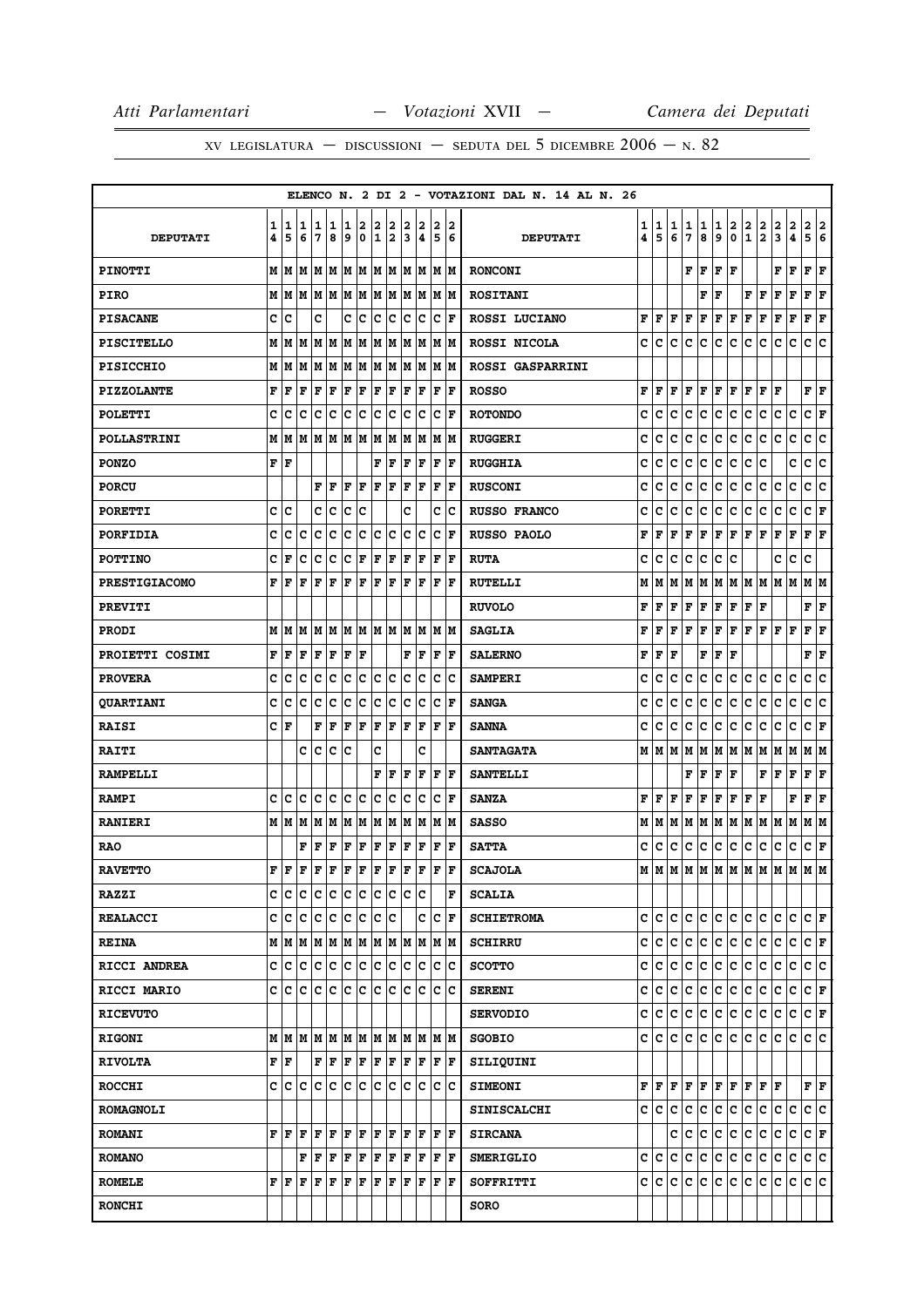|                      |        |                           |        |        |        |        |                  |        |        |        |        |                      |                      | ELENCO N. 2 DI 2 - VOTAZIONI DAL N. 14 AL N. 26 |        |              |        |             |        |             |           |                   |                               |        |                     |                        |        |
|----------------------|--------|---------------------------|--------|--------|--------|--------|------------------|--------|--------|--------|--------|----------------------|----------------------|-------------------------------------------------|--------|--------------|--------|-------------|--------|-------------|-----------|-------------------|-------------------------------|--------|---------------------|------------------------|--------|
| <b>DEPUTATI</b>      | 1<br>4 | 1<br>5                    | 1<br>6 | 1<br>7 | 1<br>8 | 1<br>9 | 2<br>$\mathbf 0$ | 2<br>1 | 2<br>2 | 2<br>3 | 2<br>4 | 2<br>5               | 2<br>6               | <b>DEPUTATI</b>                                 | 1<br>4 | 1<br>5       | 1<br>6 | 1<br>7      | 1<br>8 | 1<br>9      | 2<br>0    | 2<br>$\mathbf{1}$ | 2<br>$\overline{\mathbf{2}}$  | 2<br>3 | $\overline{a}$<br>4 | 2<br>5                 | 2<br>6 |
| <b>PINOTTI</b>       | М      | lм                        | M      |        |        |        | M  M  M  M  M  M |        |        |        | M M    | M M                  |                      | <b>RONCONI</b>                                  |        |              |        | F           | F      | F           | F         |                   |                               | F      | F                   | F                      | F      |
| <b>PIRO</b>          | М      | M                         | M      | M M    |        |        | MM               |        | M M    | M      | M      |                      | M  M                 | <b>ROSITANI</b>                                 |        |              |        |             | F      | F           |           | F                 | F                             | F      | F                   | F                      | F      |
| <b>PISACANE</b>      | c      | c                         |        | c      |        | c      | c                | c      | с      | c      | c      | c                    | l F                  | ROSSI LUCIANO                                   | F      | l F          | F      | F           | F      | F           | F         | F                 | F                             | F      | $\mathbf F$         | F                      | ΙF     |
| <b>PISCITELLO</b>    | М      | M                         | lМ     | MM     |        | M      | M                | M      | M      | M      | M      | М                    | IМ                   | ROSSI NICOLA                                    | c      | c            | c      | c           | c      | c           | c         | c                 | c                             | c      | c                   | c                      | lc.    |
| <b>PISICCHIO</b>     | M      | M                         | M      | M      | M      | M      | M                | M      | M      | M      | M      | lм                   | M                    | ROSSI GASPARRINI                                |        |              |        |             |        |             |           |                   |                               |        |                     |                        |        |
| <b>PIZZOLANTE</b>    | F      | F                         | l F    | F      | F      | F      | F                | F      | F      | F      | F      | F                    | F                    | <b>ROSSO</b>                                    | F      | l F          | F      | F           | F      | F           | F         | F                 | F                             | F      |                     | ${\bf F} \mid {\bf F}$ |        |
| <b>POLETTI</b>       | C      | C                         | C      | c      | C      | c      | C                | C      | c      | C      | c      | lc                   | F                    | <b>ROTONDO</b>                                  | C      | c            | C      | C           | c      | c           | c         | c                 | C                             | c      | c                   | C F                    |        |
| <b>POLLASTRINI</b>   | М      | M                         | M      | M      | M      | lМ     | M                | M      | M      | M      | M      | М                    | M                    | <b>RUGGERI</b>                                  | C      | c            | c      | c           | с      | с           | c         | с                 | c                             | c      | c                   | c                      | lc.    |
| <b>PONZO</b>         | F      | lF                        |        |        |        |        |                  | F      | F      | F      | F      | F                    | l F                  | <b>RUGGHIA</b>                                  | c      | c            | c      | c           | c      | c           | c         | c                 | c                             |        | с                   | c                      | ∣c     |
| <b>PORCU</b>         |        |                           |        | F      | l F    | ΙF     | F                | F      | F      | F      | F      | F                    | F                    | <b>RUSCONI</b>                                  | c      | c            | c      | c           | с      | c           | c         | с                 | c                             | c      | c                   | c                      | lc.    |
| <b>PORETTI</b>       | c      | Iс                        |        | c      | c      | c      | c                |        |        | c      |        | с                    | Iс                   | <b>RUSSO FRANCO</b>                             | c      | c            | c      | c           | c      | c           | c         | c                 | c                             | с      | c                   | C F                    |        |
| <b>PORFIDIA</b>      | C      | c                         | c      | c      | c      | c      | ∣c               | c      | c      | c      | c      | c                    | l F                  | <b>RUSSO PAOLO</b>                              | F      | F            | F      | F           | F      | F           | F         | F                 | F                             | F      | F                   | F                      | ΙF     |
| <b>POTTINO</b>       | C      | F                         | C      | C      | C      | c      | F                | F      | F      | F      | F      | F                    | l F                  | <b>RUTA</b>                                     | c      | c            | c      | c           | с      | c           | c         |                   |                               | c      | c                   | c                      |        |
| <b>PRESTIGIACOMO</b> | F      | F                         | F      | F      | F      | F      | F                | l F    | F      | l F    | F      | l F                  | l F                  | <b>RUTELLI</b>                                  | М      | м            | M      | М           | M      | M           | M   M   M |                   |                               | M M    |                     | M  M                   |        |
| <b>PREVITI</b>       |        |                           |        |        |        |        |                  |        |        |        |        |                      |                      | <b>RUVOLO</b>                                   | F      | F            | F      | F           | F      | F           | F         | F                 | F                             |        |                     | F                      | F      |
| <b>PRODI</b>         | М      | M                         | M      | М      | M      | M      | M                | M  M   |        | M      | M      |                      | M  M                 | <b>SAGLIA</b>                                   | F      | F            | F      | $\mathbf F$ | F      | $\mathbf F$ | F         | F                 | F                             | F      | F                   | F                      | lF     |
| PROIETTI COSIMI      | F      | F                         | F      | F      | F      | F      | F                |        |        | F      | F      | l F                  | l F                  | <b>SALERNO</b>                                  | F      | $\mathbf{F}$ | F      |             | F      | F           | F         |                   |                               |        |                     | F                      | F      |
| <b>PROVERA</b>       | c      | c                         | c      | c      | c      | c      | c                | c      | c      | c      | c      | c                    | Iс                   | <b>SAMPERI</b>                                  | c      | c            | c      | c           | с      | c           | c         | с                 | c                             | c      | c                   | c                      | lc.    |
| <b>QUARTIANI</b>     | c      | c                         | c      | C      | C      | C      | c                | c      | c      | c      | c      | c                    | l F                  | <b>SANGA</b>                                    | c      | c            | c      | c           | с      | c           | с         | c                 | c                             | c      | с                   | c                      | c      |
| <b>RAISI</b>         | C      | l F                       |        | F      | l F    | F      | l F              | l F    | F      | l F    | F      | F                    | lF                   | <b>SANNA</b>                                    | c      | c            | c      | C           | c      | $\mathbf c$ | c         | c                 | c                             | c      | c                   | c                      | F      |
| <b>RAITI</b>         |        |                           | c      | Iс     | c      | Ιc     |                  | c      |        |        | c      |                      |                      | <b>SANTAGATA</b>                                | М      | M            | lМ     | М           | M      | M M         |           | M                 | M                             | M      | M                   | MM                     |        |
| <b>RAMPELLI</b>      |        |                           |        |        |        |        |                  | F      | F      | F      | F      | F                    | l F                  | <b>SANTELLI</b>                                 |        |              |        | F           | F      | F           | F         |                   | F                             | F      | F                   | F                      | F      |
| <b>RAMPI</b>         | c      | c                         | lc     | c      | Ιc     | c      | c                | c      | c      | c      | c      | c                    | l F                  | <b>SANZA</b>                                    | F      | l F          | l F    | $\mathbf F$ | F      | $\mathbf F$ | F         | F                 | l F                           |        | F                   | F                      | lF.    |
| <b>RANIERI</b>       |        | мM                        | M      | M      | M      | M      | M                | M      | M      | M      | M      | М                    | M                    | <b>SASSO</b>                                    | М      | M            | M      | M           | M      | M           | M         | M                 | M                             | M      | M                   | M  M                   |        |
| <b>RAO</b>           |        |                           | F      | F      | F      | F      | F                | F      | F      | F      | F      | F                    | F                    | <b>SATTA</b>                                    | c      | с            | c      | с           | c      | с           | c         | с                 | c                             | c      | c                   | C F                    |        |
| <b>RAVETTO</b>       | F      | F                         | l F    | F      | F      | F      | F                | F      | F      | F      | F      | l F                  | ΙF                   | <b>SCAJOLA</b>                                  | М      |              |        |             |        |             |           |                   | M   M   M   M   M   M   M   M |        | M                   | M M                    |        |
| <b>RAZZI</b>         | c      | lc.                       | lc.    | lc.    | c      | lc.    | c                | lc.    | c      | lc.    | c      |                      | F                    | <b>SCALIA</b>                                   |        |              |        |             |        |             |           |                   |                               |        |                     |                        |        |
| <b>REALACCI</b>      | C      | c c                       |        | c c    |        | c c    |                  | c c    |        |        | c      |                      | $ {\bf C}  {\bf F} $ | <b>SCHIETROMA</b>                               | c      | IC.          | c      | c           | lc.    | c c         |           | c.                | lc.                           | с      | lc.                 | CF                     |        |
| <b>REINA</b>         |        | м ім ім                   |        | M      | M      | M      | M                | M      | M      | M      | M      |                      | M  M                 | <b>SCHIRRU</b>                                  | c      | lc.          | lc.    | c           | lc.    | c           | c         | lc.               | lc.                           | с      | c                   | C F                    |        |
| RICCI ANDREA         |        | c c c                     |        | c c    |        |        | c c              | c      | c      | lc.    | c      | c.                   | ΙC                   | <b>SCOTTO</b>                                   | c      | c            | c      | c           | c      | c.          | c         | c.                | c                             | lc.    | lc.                 | c c                    |        |
| <b>RICCI MARIO</b>   | c      | c                         | lc.    | с      | Iс     | lC.    | c                | c      | c      | c      | c      | c                    | Ιc                   | <b>SERENI</b>                                   | c      | с            | с      | c           | IС     | c           | c         | c                 | c                             | c      | с                   | C F                    |        |
| <b>RICEVUTO</b>      |        |                           |        |        |        |        |                  |        |        |        |        |                      |                      | <b>SERVODIO</b>                                 | с      | C.           | c      | c           | c      | c           | c         | c.                | c                             | c      | c                   | C F                    |        |
| <b>RIGONI</b>        | М      | M                         | lм     |        | M M    |        | M M              | lm Im  |        | lм     | M      |                      | lm Im                | <b>SGOBIO</b>                                   | c      | IC.          | c      | c           | c      | c.          | c.        | c.                | lc.                           | c      | c                   | c c                    |        |
| <b>RIVOLTA</b>       |        | $\mathbf{F}   \mathbf{F}$ |        | F F    |        | F F    |                  | F F    |        |        | F F    | $ {\bf F}  {\bf F} $ |                      | SILIQUINI                                       |        |              |        |             |        |             |           |                   |                               |        |                     |                        |        |
| <b>ROCCHI</b>        | c      | c c                       |        | c c    |        | c      | c                | c      | c      | lc.    | lc.    | lc Ic                |                      | <b>SIMEONI</b>                                  |        | FF           | l F    | F           | F      | F F         |           |                   | $F$ $F$ $F$                   |        |                     | FF                     |        |
| <b>ROMAGNOLI</b>     |        |                           |        |        |        |        |                  |        |        |        |        |                      |                      | <b>SINISCALCHI</b>                              |        | c  c         | lc.    | $\mathbf c$ | c      | c.          | c         | c.                | c                             | c.     | lc.                 | c c                    |        |
| <b>ROMANI</b>        |        | F F F                     |        | F F    |        |        | F F              | F F    |        | F      | lF.    | $ {\bf F}  {\bf F} $ |                      | <b>SIRCANA</b>                                  |        |              |        | c c         | c      | c.          | c         | c.                | c                             | c c    |                     | $ {\bf C}  {\bf F} $   |        |
| <b>ROMANO</b>        |        |                           | F      | F      | F      | F      | F                | F      | F      | F      | F      | F                    | lF.                  | <b>SMERIGLIO</b>                                | c      | Iс           | c      | с           | c      | с           | c         | c                 | c                             | c      | c                   | c c                    |        |
| <b>ROMELE</b>        |        | FF                        | F      | F      | F      | F      | F                | F      | F      | F      | F      |                      | F  F                 | SOFFRITTI                                       |        | c c          | c.     | lc.         | c      | c           | c.        | lc.               | с                             | c      | lc.                 | c c                    |        |
| <b>RONCHI</b>        |        |                           |        |        |        |        |                  |        |        |        |        |                      |                      | <b>SORO</b>                                     |        |              |        |             |        |             |           |                   |                               |        |                     |                        |        |